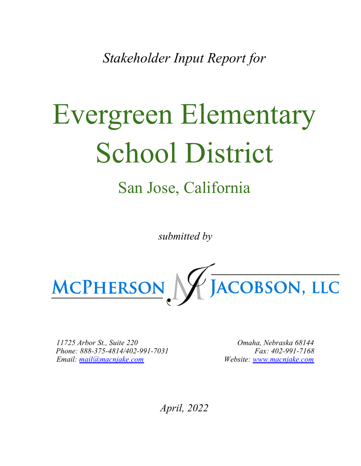*Stakeholder Input Report for*

# Evergreen Elementary School District

# San Jose, California

*submitted by*



11725 Arbor St., Suite 220 Phone: 888-375-4814/402-991-7031 Email: mail@macnjake.com

Omaha, Nebraska 68144 Fax: 402-991-7168 Website: www.macnjake.com

*April, 2022*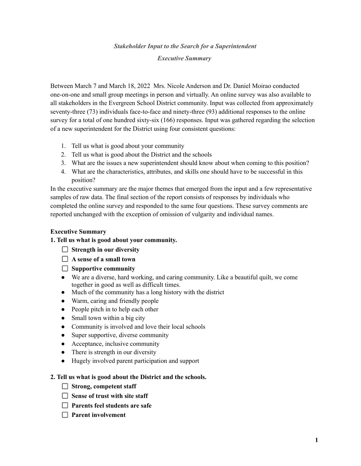# *Stakeholder Input to the Search for a Superintendent Executive Summary*

Between March 7 and March 18, 2022 Mrs. Nicole Anderson and Dr. Daniel Moirao conducted one-on-one and small group meetings in person and virtually. An online survey was also available to all stakeholders in the Evergreen School District community. Input was collected from approximately seventy-three (73) individuals face-to-face and ninety-three (93) additional responses to the online survey for a total of one hundred sixty-six (166) responses. Input was gathered regarding the selection of a new superintendent for the District using four consistent questions:

- 1. Tell us what is good about your community
- 2. Tell us what is good about the District and the schools
- 3. What are the issues a new superintendent should know about when coming to this position?
- 4. What are the characteristics, attributes, and skills one should have to be successful in this position?

In the executive summary are the major themes that emerged from the input and a few representative samples of raw data. The final section of the report consists of responses by individuals who completed the online survey and responded to the same four questions. These survey comments are reported unchanged with the exception of omission of vulgarity and individual names.

# **Executive Summary**

# **1. Tell us what is good about your community.**

- **Strength in our diversity**
- **A sense of a small town**
- **Supportive community**
- We are a diverse, hard working, and caring community. Like a beautiful quilt, we come together in good as well as difficult times.
- Much of the community has a long history with the district
- Warm, caring and friendly people
- People pitch in to help each other
- Small town within a big city
- Community is involved and love their local schools
- Super supportive, diverse community
- Acceptance, inclusive community
- There is strength in our diversity
- Hugely involved parent participation and support

# **2. Tell us what is good about the District and the schools.**

- **Strong, competent staff**
- **Sense of trust with site staff**
- **Parents feel students are safe**
- **Parent involvement**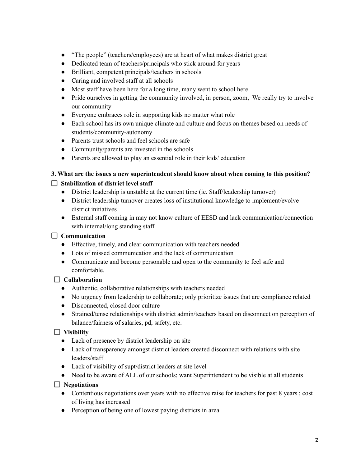- "The people" (teachers/employees) are at heart of what makes district great
- Dedicated team of teachers/principals who stick around for years
- Brilliant, competent principals/teachers in schools
- Caring and involved staff at all schools
- Most staff have been here for a long time, many went to school here
- Pride ourselves in getting the community involved, in person, zoom, We really try to involve our community
- Everyone embraces role in supporting kids no matter what role
- Each school has its own unique climate and culture and focus on themes based on needs of students/community-autonomy
- Parents trust schools and feel schools are safe
- Community/parents are invested in the schools
- Parents are allowed to play an essential role in their kids' education

# **3. What are the issues a new superintendent should know about when coming to this position?**

# **Stabilization of district level staff**

- District leadership is unstable at the current time (ie. Staff/leadership turnover)
- District leadership turnover creates loss of institutional knowledge to implement/evolve district initiatives
- External staff coming in may not know culture of EESD and lack communication/connection with internal/long standing staff

# **Communication**

- Effective, timely, and clear communication with teachers needed
- Lots of missed communication and the lack of communication
- Communicate and become personable and open to the community to feel safe and comfortable.

# **Collaboration**

- Authentic, collaborative relationships with teachers needed
- No urgency from leadership to collaborate; only prioritize issues that are compliance related
- Disconnected, closed door culture
- Strained/tense relationships with district admin/teachers based on disconnect on perception of balance/fairness of salaries, pd, safety, etc.

# **Visibility**

- Lack of presence by district leadership on site
- Lack of transparency amongst district leaders created disconnect with relations with site leaders/staff
- Lack of visibility of supt/district leaders at site level
- Need to be aware of ALL of our schools; want Superintendent to be visible at all students

# **Negotiations**

- Contentious negotiations over years with no effective raise for teachers for past 8 years ; cost of living has increased
- Perception of being one of lowest paying districts in area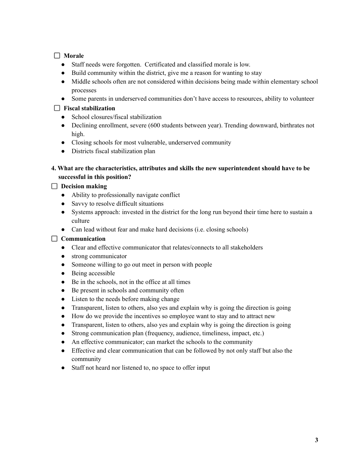# **Morale**

- Staff needs were forgotten. Certificated and classified morale is low.
- Build community within the district, give me a reason for wanting to stay
- Middle schools often are not considered within decisions being made within elementary school processes
- Some parents in underserved communities don't have access to resources, ability to volunteer

# **Fiscal stabilization**

- School closures/fiscal stabilization
- Declining enrollment, severe (600 students between year). Trending downward, birthrates not high.
- Closing schools for most vulnerable, underserved community
- Districts fiscal stabilization plan

# **4. What are the characteristics, attributes and skills the new superintendent should have to be successful in this position?**

# **Decision making**

- Ability to professionally navigate conflict
- Savvy to resolve difficult situations
- Systems approach: invested in the district for the long run beyond their time here to sustain a culture
- Can lead without fear and make hard decisions (i.e. closing schools)

# **Communication**

- Clear and effective communicator that relates/connects to all stakeholders
- **●** strong communicator
- Someone willing to go out meet in person with people
- Being accessible
- Be in the schools, not in the office at all times
- Be present in schools and community often
- Listen to the needs before making change
- Transparent, listen to others, also yes and explain why is going the direction is going
- How do we provide the incentives so employee want to stay and to attract new
- Transparent, listen to others, also yes and explain why is going the direction is going
- Strong communication plan (frequency, audience, timeliness, impact, etc.)
- An effective communicator; can market the schools to the community
- Effective and clear communication that can be followed by not only staff but also the community
- Staff not heard nor listened to, no space to offer input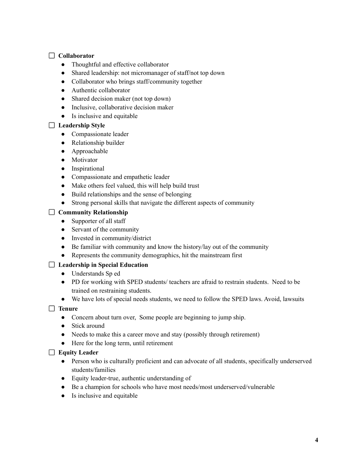# **Collaborator**

- Thoughtful and effective collaborator
- Shared leadership: not micromanager of staff/not top down
- Collaborator who brings staff/community together
- Authentic collaborator
- Shared decision maker (not top down)
- Inclusive, collaborative decision maker
- Is inclusive and equitable

# **Leadership Style**

- Compassionate leader
- Relationship builder
- Approachable
- Motivator
- Inspirational
- Compassionate and empathetic leader
- Make others feel valued, this will help build trust
- Build relationships and the sense of belonging
- Strong personal skills that navigate the different aspects of community

# **Community Relationship**

- Supporter of all staff
- Servant of the community
- Invested in community/district
- Be familiar with community and know the history/lay out of the community
- Represents the community demographics, hit the mainstream first

# **Leadership in Special Education**

- Understands Sp ed
- PD for working with SPED students/ teachers are afraid to restrain students. Need to be trained on restraining students.
- We have lots of special needs students, we need to follow the SPED laws. Avoid, lawsuits

# **Tenure**

- Concern about turn over, Some people are beginning to jump ship.
- Stick around
- Needs to make this a career move and stay (possibly through retirement)
- Here for the long term, until retirement

# **Equity Leader**

- Person who is culturally proficient and can advocate of all students, specifically underserved students/families
- Equity leader-true, authentic understanding of
- Be a champion for schools who have most needs/most underserved/vulnerable
- Is inclusive and equitable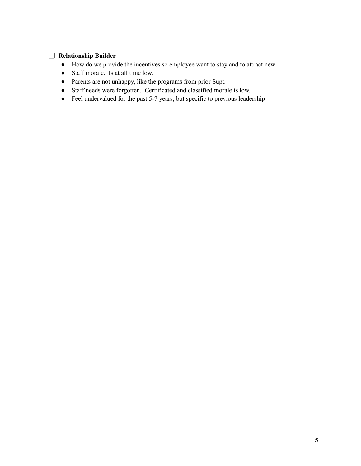# **Relationship Builder**

- How do we provide the incentives so employee want to stay and to attract new
- Staff morale. Is at all time low.
- Parents are not unhappy, like the programs from prior Supt.
- Staff needs were forgotten. Certificated and classified morale is low.
- Feel undervalued for the past 5-7 years; but specific to previous leadership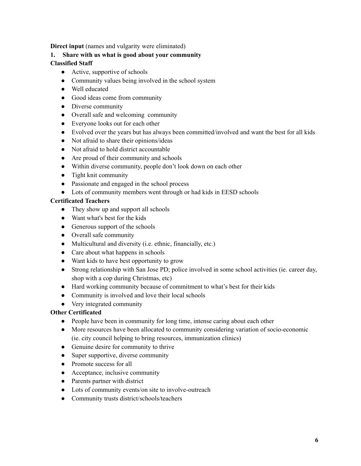**Direct input** (names and vulgarity were eliminated)

# **1. Share with us what is good about your community**

# **Classified Staff**

- Active, supportive of schools
- Community values being involved in the school system
- Well educated
- Good ideas come from community
- Diverse community
- Overall safe and welcoming community
- Everyone looks out for each other
- Evolved over the years but has always been committed/involved and want the best for all kids
- Not afraid to share their opinions/ideas
- Not afraid to hold district accountable
- Are proud of their community and schools
- Within diverse community, people don't look down on each other
- Tight knit community
- Passionate and engaged in the school process
- Lots of community members went through or had kids in EESD schools

# **Certificated Teachers**

- They show up and support all schools
- Want what's best for the kids
- Generous support of the schools
- Overall safe community
- Multicultural and diversity (i.e. ethnic, financially, etc.)
- Care about what happens in schools
- Want kids to have best opportunity to grow
- Strong relationship with San Jose PD; police involved in some school activities (ie. career day, shop with a cop during Christmas, etc)
- Hard working community because of commitment to what's best for their kids
- Community is involved and love their local schools
- Very integrated community

# **Other Certificated**

- People have been in community for long time, intense caring about each other
- More resources have been allocated to community considering variation of socio-economic (ie. city council helping to bring resources, immunization clinics)
- Genuine desire for community to thrive
- Super supportive, diverse community
- Promote success for all
- Acceptance, inclusive community
- Parents partner with district
- Lots of community events/on site to involve-outreach
- Community trusts district/schools/teachers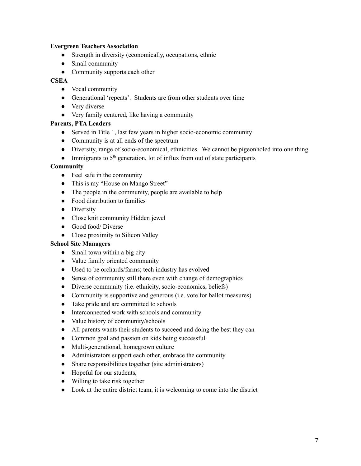# **Evergreen Teachers Association**

- Strength in diversity (economically, occupations, ethnic
- Small community
- Community supports each other

# **CSEA**

- Vocal community
- Generational 'repeats'. Students are from other students over time
- Very diverse
- Very family centered, like having a community

# **Parents, PTA Leaders**

- Served in Title 1, last few years in higher socio-economic community
- Community is at all ends of the spectrum
- Diversity, range of socio-economical, ethnicities. We cannot be pigeonholed into one thing
- $\bullet$  Immigrants to 5<sup>th</sup> generation, lot of influx from out of state participants

# **Community**

- Feel safe in the community
- This is my "House on Mango Street"
- The people in the community, people are available to help
- Food distribution to families
- Diversity
- Close knit community Hidden jewel
- Good food/ Diverse
- Close proximity to Silicon Valley

# **School Site Managers**

- Small town within a big city
- **●** Value family oriented community
- Used to be orchards/farms; tech industry has evolved
- Sense of community still there even with change of demographics
- Diverse community (i.e. ethnicity, socio-economics, beliefs)
- Community is supportive and generous (i.e. vote for ballot measures)
- Take pride and are committed to schools
- Interconnected work with schools and community
- Value history of community/schools
- All parents wants their students to succeed and doing the best they can
- Common goal and passion on kids being successful
- Multi-generational, homegrown culture
- Administrators support each other, embrace the community
- Share responsibilities together (site administrators)
- Hopeful for our students,
- Willing to take risk together
- Look at the entire district team, it is welcoming to come into the district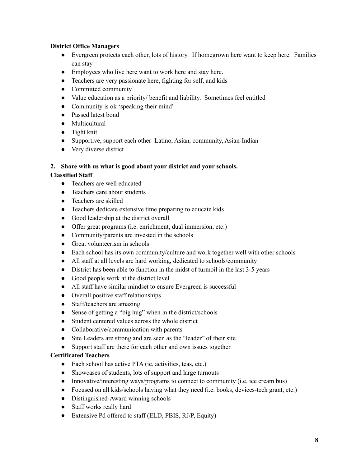# **District Office Managers**

- Evergreen protects each other, lots of history. If homegrown here want to keep here. Families can stay
- Employees who live here want to work here and stay here.
- Teachers are very passionate here, fighting for self, and kids
- Committed community
- Value education as a priority/ benefit and liability. Sometimes feel entitled
- Community is ok 'speaking their mind'
- Passed latest bond
- Multicultural
- Tight knit
- Supportive, support each other Latino, Asian, community, Asian-Indian
- Very diverse district

# **2. Share with us what is good about your district and your schools.**

# **Classified Staff**

- Teachers are well educated
- Teachers care about students
- Teachers are skilled
- Teachers dedicate extensive time preparing to educate kids
- Good leadership at the district overall
- Offer great programs (i.e. enrichment, dual immersion, etc.)
- Community/parents are invested in the schools
- Great volunteerism in schools
- Each school has its own community/culture and work together well with other schools
- All staff at all levels are hard working, dedicated to schools/community
- District has been able to function in the midst of turmoil in the last 3-5 years
- Good people work at the district level
- All staff have similar mindset to ensure Evergreen is successful
- Overall positive staff relationships
- Staff/teachers are amazing
- Sense of getting a "big hug" when in the district/schools
- Student centered values across the whole district
- Collaborative/communication with parents
- Site Leaders are strong and are seen as the "leader" of their site
- Support staff are there for each other and own issues together

# **Certificated Teachers**

- Each school has active PTA (ie. activities, teas, etc.)
- Showcases of students, lots of support and large turnouts
- Innovative/interesting ways/programs to connect to community (i.e. ice cream bus)
- Focused on all kids/schools having what they need (i.e. books, devices-tech grant, etc.)
- Distinguished-Award winning schools
- Staff works really hard
- Extensive Pd offered to staff (ELD, PBIS, RJ/P, Equity)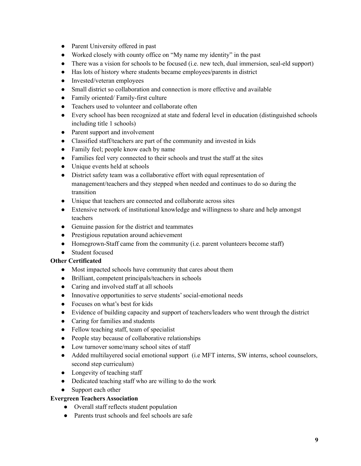- Parent University offered in past
- Worked closely with county office on "My name my identity" in the past
- There was a vision for schools to be focused (i.e. new tech, dual immersion, seal-eld support)
- Has lots of history where students became employees/parents in district
- Invested/veteran employees
- Small district so collaboration and connection is more effective and available
- Family oriented/ Family-first culture
- Teachers used to volunteer and collaborate often
- Every school has been recognized at state and federal level in education (distinguished schools including title 1 schools)
- Parent support and involvement
- Classified staff/teachers are part of the community and invested in kids
- Family feel; people know each by name
- Families feel very connected to their schools and trust the staff at the sites
- Unique events held at schools
- District safety team was a collaborative effort with equal representation of management/teachers and they stepped when needed and continues to do so during the transition
- Unique that teachers are connected and collaborate across sites
- Extensive network of institutional knowledge and willingness to share and help amongst teachers
- Genuine passion for the district and teammates
- Prestigious reputation around achievement
- Homegrown-Staff came from the community (i.e. parent volunteers become staff)
- Student focused

# **Other Certificated**

- Most impacted schools have community that cares about them
- Brilliant, competent principals/teachers in schools
- Caring and involved staff at all schools
- Innovative opportunities to serve students' social-emotional needs
- Focuses on what's best for kids
- Evidence of building capacity and support of teachers/leaders who went through the district
- Caring for families and students
- Fellow teaching staff, team of specialist
- People stay because of collaborative relationships
- Low turnover some/many school sites of staff
- Added multilayered social emotional support (i.e MFT interns, SW interns, school counselors, second step curriculum)
- Longevity of teaching staff
- Dedicated teaching staff who are willing to do the work
- Support each other

# **Evergreen Teachers Association**

- Overall staff reflects student population
- Parents trust schools and feel schools are safe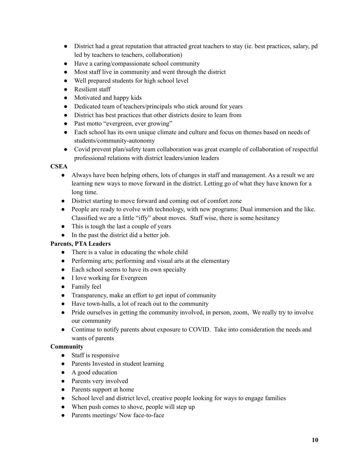- District had a great reputation that attracted great teachers to stay (ie. best practices, salary, pd led by teachers to teachers, collaboration)
- Have a caring/compassionate school community
- Most staff live in community and went through the district
- Well prepared students for high school level
- Resilient staff
- Motivated and happy kids
- Dedicated team of teachers/principals who stick around for years
- District has best practices that other districts desire to learn from
- Past motto "evergreen, ever growing"
- Each school has its own unique climate and culture and focus on themes based on needs of students/community-autonomy
- Covid prevent plan/safety team collaboration was great example of collaboration of respectful professional relations with district leaders/union leaders

# **CSEA**

- Always have been helping others, lots of changes in staff and management. As a result we are learning new ways to move forward in the district. Letting go of what they have known for a long time.
- District starting to move forward and coming out of comfort zone
- People are ready to evolve with technology, with new programs: Dual immersion and the like. Classified we are a little "iffy" about moves. Staff wise, there is some hesitancy
- This is tough the last a couple of years
- In the past the district did a better job.

# **Parents, PTA Leaders**

- There is a value in educating the whole child
- Performing arts; performing and visual arts at the elementary
- Each school seems to have its own specialty
- I love working for Evergreen
- Family feel
- Transparency, make an effort to get input of community
- Have town-halls, a lot of reach out to the community
- Pride ourselves in getting the community involved, in person, zoom, We really try to involve our community
- Continue to notify parents about exposure to COVID. Take into consideration the needs and wants of parents

# **Community**

- Staff is responsive
- Parents Invested in student learning
- A good education
- Parents very involved
- Parents support at home
- School level and district level, creative people looking for ways to engage families
- When push comes to shove, people will step up
- Parents meetings/ Now face-to-face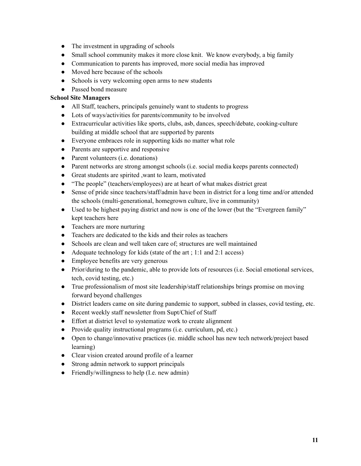- The investment in upgrading of schools
- Small school community makes it more close knit. We know everybody, a big family
- Communication to parents has improved, more social media has improved
- Moved here because of the schools
- Schools is very welcoming open arms to new students
- Passed bond measure

# **School Site Managers**

- All Staff, teachers, principals genuinely want to students to progress
- Lots of ways/activities for parents/community to be involved
- Extracurricular activities like sports, clubs, asb, dances, speech/debate, cooking-culture building at middle school that are supported by parents
- Everyone embraces role in supporting kids no matter what role
- Parents are supportive and responsive
- Parent volunteers (i.e. donations)
- Parent networks are strong amongst schools (i.e. social media keeps parents connected)
- Great students are spirited ,want to learn, motivated
- "The people" (teachers/employees) are at heart of what makes district great
- Sense of pride since teachers/staff/admin have been in district for a long time and/or attended the schools (multi-generational, homegrown culture, live in community)
- Used to be highest paying district and now is one of the lower (but the "Evergreen family" kept teachers here
- Teachers are more nurturing
- Teachers are dedicated to the kids and their roles as teachers
- Schools are clean and well taken care of: structures are well maintained
- Adequate technology for kids (state of the art ; 1:1 and 2:1 access)
- Employee benefits are very generous
- Prior/during to the pandemic, able to provide lots of resources (i.e. Social emotional services, tech, covid testing, etc.)
- True professionalism of most site leadership/staff relationships brings promise on moving forward beyond challenges
- District leaders came on site during pandemic to support, subbed in classes, covid testing, etc.
- Recent weekly staff newsletter from Supt/Chief of Staff
- Effort at district level to systematize work to create alignment
- Provide quality instructional programs (i.e. curriculum, pd, etc.)
- Open to change/innovative practices (ie. middle school has new tech network/project based learning)
- Clear vision created around profile of a learner
- Strong admin network to support principals
- Friendly/willingness to help (I.e. new admin)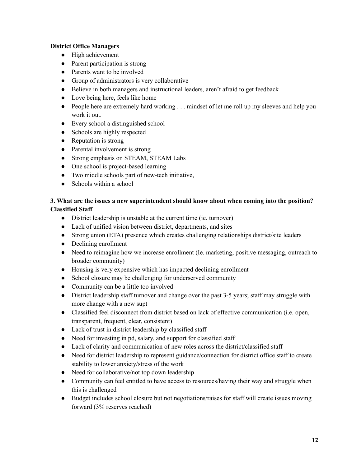# **District Office Managers**

- High achievement
- Parent participation is strong
- Parents want to be involved
- Group of administrators is very collaborative
- Believe in both managers and instructional leaders, aren't afraid to get feedback
- Love being here, feels like home
- People here are extremely hard working . . . mindset of let me roll up my sleeves and help you work it out.
- Every school a distinguished school
- Schools are highly respected
- Reputation is strong
- Parental involvement is strong
- Strong emphasis on STEAM, STEAM Labs
- One school is project-based learning
- Two middle schools part of new-tech initiative,
- $\bullet$  Schools within a school

# **3. What are the issues a new superintendent should know about when coming into the position? Classified Staff**

- District leadership is unstable at the current time (ie. turnover)
- Lack of unified vision between district, departments, and sites
- Strong union (ETA) presence which creates challenging relationships district/site leaders
- Declining enrollment
- Need to reimagine how we increase enrollment (Ie. marketing, positive messaging, outreach to broader community)
- Housing is very expensive which has impacted declining enrollment
- School closure may be challenging for underserved community
- Community can be a little too involved
- District leadership staff turnover and change over the past 3-5 years; staff may struggle with more change with a new supt
- Classified feel disconnect from district based on lack of effective communication (i.e. open, transparent, frequent, clear, consistent)
- Lack of trust in district leadership by classified staff
- Need for investing in pd, salary, and support for classified staff
- Lack of clarity and communication of new roles across the district/classified staff
- Need for district leadership to represent guidance/connection for district office staff to create stability to lower anxiety/stress of the work
- Need for collaborative/not top down leadership
- Community can feel entitled to have access to resources/having their way and struggle when this is challenged
- Budget includes school closure but not negotiations/raises for staff will create issues moving forward (3% reserves reached)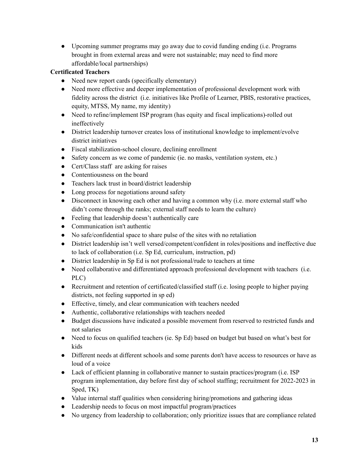● Upcoming summer programs may go away due to covid funding ending (i.e. Programs brought in from external areas and were not sustainable; may need to find more affordable/local partnerships)

# **Certificated Teachers**

- Need new report cards (specifically elementary)
- Need more effective and deeper implementation of professional development work with fidelity across the district (i.e. initiatives like Profile of Learner, PBIS, restorative practices, equity, MTSS, My name, my identity)
- Need to refine/implement ISP program (has equity and fiscal implications)-rolled out ineffectively
- District leadership turnover creates loss of institutional knowledge to implement/evolve district initiatives
- Fiscal stabilization-school closure, declining enrollment
- Safety concern as we come of pandemic (ie. no masks, ventilation system, etc.)
- Cert/Class staff are asking for raises
- Contentiousness on the board
- Teachers lack trust in board/district leadership
- Long process for negotiations around safety
- Disconnect in knowing each other and having a common why (i.e. more external staff who didn't come through the ranks; external staff needs to learn the culture)
- Feeling that leadership doesn't authentically care
- Communication isn't authentic
- No safe/confidential space to share pulse of the sites with no retaliation
- District leadership isn't well versed/competent/confident in roles/positions and ineffective due to lack of collaboration (i.e. Sp Ed, curriculum, instruction, pd)
- District leadership in Sp Ed is not professional/rude to teachers at time
- Need collaborative and differentiated approach professional development with teachers (i.e. PLC)
- Recruitment and retention of certificated/classified staff (i.e. losing people to higher paying districts, not feeling supported in sp ed)
- Effective, timely, and clear communication with teachers needed
- Authentic, collaborative relationships with teachers needed
- Budget discussions have indicated a possible movement from reserved to restricted funds and not salaries
- Need to focus on qualified teachers (ie. Sp Ed) based on budget but based on what's best for kids
- Different needs at different schools and some parents don't have access to resources or have as loud of a voice
- Lack of efficient planning in collaborative manner to sustain practices/program (i.e. ISP program implementation, day before first day of school staffing; recruitment for 2022-2023 in Sped, TK)
- Value internal staff qualities when considering hiring/promotions and gathering ideas
- Leadership needs to focus on most impactful program/practices
- No urgency from leadership to collaboration; only prioritize issues that are compliance related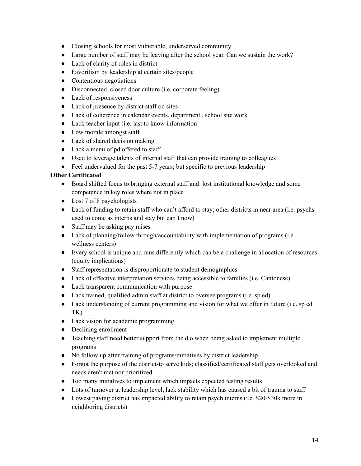- Closing schools for most vulnerable, underserved community
- Large number of staff may be leaving after the school year. Can we sustain the work?
- Lack of clarity of roles in district
- Favoritism by leadership at certain sites/people
- Contentious negotiations
- Disconnected, closed door culture (i.e. corporate feeling)
- Lack of responsiveness
- Lack of presence by district staff on sites
- Lack of coherence in calendar events, department , school site work
- Lack teacher input (i.e. last to know information
- Low morale amongst staff
- Lack of shared decision making
- Lack a menu of pd offered to staff
- Used to leverage talents of internal staff that can provide training to colleagues
- Feel undervalued for the past 5-7 years; but specific to previous leadership

# **Other Certificated**

- Board shifted focus to bringing external staff and lost institutional knowledge and some competence in key roles where not in place
- Lost 7 of 8 psychologists
- Lack of funding to retain staff who can't afford to stay; other districts in near area (i.e. psychs used to come as interns and stay but can't now)
- Staff may be asking pay raises
- Lack of planning/follow through/accountability with implementation of programs (i.e. wellness centers)
- Every school is unique and runs differently which can be a challenge in allocation of resources (equity implications)
- Staff representation is disproportionate to student demographics
- Lack of effective interpretation services being accessible to families (i.e. Cantonese)
- Lack transparent communication with purpose
- Lack trained, qualified admin staff at district to oversee programs (i.e. sp ed)
- Lack understanding of current programming and vision for what we offer in future (i.e. sp ed TK)
- Lack vision for academic programming
- Declining enrollment
- Teaching staff need better support from the d.o when being asked to implement multiple programs
- No follow up after training of programs/initiatives by district leadership
- Forgot the purpose of the district-to serve kids; classified/certificated staff gets overlooked and needs aren't met nor prioritized
- Too many initiatives to implement which impacts expected testing results
- Lots of turnover at leadership level, lack stability which has caused a bit of trauma to staff
- Lowest paying district has impacted ability to retain psych interns (i.e. \$20-\$30k more in neighboring districts)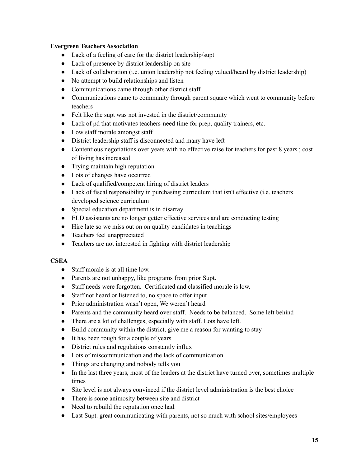# **Evergreen Teachers Association**

- Lack of a feeling of care for the district leadership/supt
- Lack of presence by district leadership on site
- Lack of collaboration (i.e. union leadership not feeling valued/heard by district leadership)
- No attempt to build relationships and listen
- Communications came through other district staff
- Communications came to community through parent square which went to community before teachers
- Felt like the supt was not invested in the district/community
- Lack of pd that motivates teachers-need time for prep, quality trainers, etc.
- Low staff morale amongst staff
- District leadership staff is disconnected and many have left
- Contentious negotiations over years with no effective raise for teachers for past 8 years; cost of living has increased
- Trying maintain high reputation
- Lots of changes have occurred
- Lack of qualified/competent hiring of district leaders
- Lack of fiscal responsibility in purchasing curriculum that isn't effective (i.e. teachers developed science curriculum
- Special education department is in disarray
- ELD assistants are no longer getter effective services and are conducting testing
- Hire late so we miss out on on quality candidates in teachings
- Teachers feel unappreciated
- Teachers are not interested in fighting with district leadership

# **CSEA**

- Staff morale is at all time low.
- Parents are not unhappy, like programs from prior Supt.
- Staff needs were forgotten. Certificated and classified morale is low.
- Staff not heard or listened to, no space to offer input
- Prior administration wasn't open, We weren't heard
- Parents and the community heard over staff. Needs to be balanced. Some left behind
- There are a lot of challenges, especially with staff. Lots have left.
- Build community within the district, give me a reason for wanting to stay
- It has been rough for a couple of years
- District rules and regulations constantly influx
- Lots of miscommunication and the lack of communication
- Things are changing and nobody tells you
- In the last three years, most of the leaders at the district have turned over, sometimes multiple times
- Site level is not always convinced if the district level administration is the best choice
- There is some animosity between site and district
- Need to rebuild the reputation once had.
- Last Supt. great communicating with parents, not so much with school sites/employees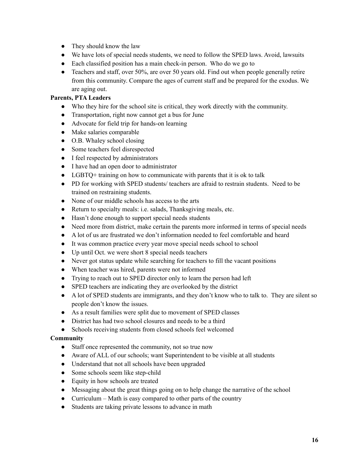- They should know the law
- We have lots of special needs students, we need to follow the SPED laws. Avoid, lawsuits
- Each classified position has a main check-in person. Who do we go to
- Teachers and staff, over 50%, are over 50 years old. Find out when people generally retire from this community. Compare the ages of current staff and be prepared for the exodus. We are aging out.

# **Parents, PTA Leaders**

- Who they hire for the school site is critical, they work directly with the community.
- Transportation, right now cannot get a bus for June
- Advocate for field trip for hands-on learning
- Make salaries comparable
- O.B. Whaley school closing
- Some teachers feel disrespected
- I feel respected by administrators
- I have had an open door to administrator
- LGBTQ+ training on how to communicate with parents that it is ok to talk
- PD for working with SPED students/ teachers are afraid to restrain students. Need to be trained on restraining students.
- None of our middle schools has access to the arts
- Return to specialty meals: i.e. salads, Thanksgiving meals, etc.
- Hasn't done enough to support special needs students
- Need more from district, make certain the parents more informed in terms of special needs
- A lot of us are frustrated we don't information needed to feel comfortable and heard
- It was common practice every year move special needs school to school
- Up until Oct. we were short 8 special needs teachers
- Never got status update while searching for teachers to fill the vacant positions
- When teacher was hired, parents were not informed
- Trying to reach out to SPED director only to learn the person had left
- SPED teachers are indicating they are overlooked by the district
- A lot of SPED students are immigrants, and they don't know who to talk to. They are silent so people don't know the issues.
- As a result families were split due to movement of SPED classes
- District has had two school closures and needs to be a third
- Schools receiving students from closed schools feel welcomed

# **Community**

- Staff once represented the community, not so true now
- Aware of ALL of our schools; want Superintendent to be visible at all students
- Understand that not all schools have been upgraded
- Some schools seem like step-child
- Equity in how schools are treated
- Messaging about the great things going on to help change the narrative of the school
- Curriculum Math is easy compared to other parts of the country
- Students are taking private lessons to advance in math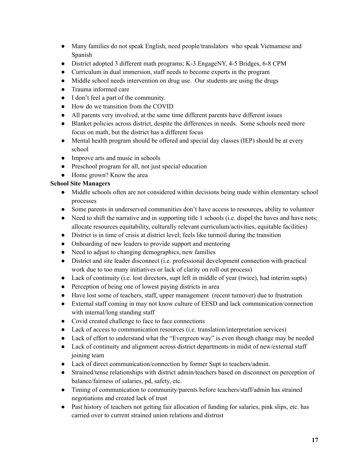- Many families do not speak English, need people/translators who speak Vietnamese and Spanish
- District adopted 3 different math programs; K-3 EngageNY, 4-5 Bridges, 6-8 CPM
- Curriculum in dual immersion, staff needs to become experts in the program
- Middle school needs intervention on drug use. Our students are using the drugs
- Trauma informed care
- I don't feel a part of the community.
- How do we transition from the COVID
- All parents very involved, at the same time different parents have different issues
- Blanket policies across district, despite the differences in needs. Some schools need more focus on math, but the district has a different focus
- Mental health program should be offered and special day classes (IEP) should be at every school
- Improve arts and music in schools
- Preschool program for all, not just special education
- Home grown? Know the area

# **School Site Managers**

- Middle schools often are not considered within decisions being made within elementary school processes
- Some parents in underserved communities don't have access to resources, ability to volunteer
- Need to shift the narrative and in supporting title 1 schools (i.e. dispel the haves and have nots; allocate resources equitability, culturally relevant curriculum/activities, equitable facilities)
- District is in time of crisis at district level; feels like turmoil during the transition
- Onboarding of new leaders to provide support and mentoring
- Need to adjust to changing demographics, new families
- District and site leader disconnect (i.e. professional development connection with practical work due to too many initiatives or lack of clarity on roll out process)
- Lack of continuity (i.e. lost directors, supt left in middle of year (twice), had interim supts)
- Perception of being one of lowest paying districts in area
- Have lost some of teachers, staff, upper management (recent turnover) due to frustration
- External staff coming in may not know culture of EESD and lack communication/connection with internal/long standing staff
- Covid created challenge to face to face connections
- Lack of access to communication resources (i.e. translation/interpretation services)
- Lack of effort to understand what the "Evergreen way" is even though change may be needed
- Lack of continuity and alignment across district departments in midst of new/external staff joining team
- Lack of direct communication/connection by former Supt to teachers/admin.
- Strained/tense relationships with district admin/teachers based on disconnect on perception of balance/fairness of salaries, pd, safety, etc.
- Timing of communication to community/parents before teachers/staff/admin has strained negotiations and created lack of trust
- Past history of teachers not getting fair allocation of funding for salaries, pink slips, etc. has carried over to current strained union relations and distrust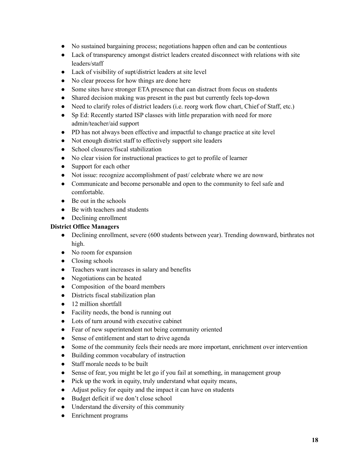- No sustained bargaining process; negotiations happen often and can be contentious
- Lack of transparency amongst district leaders created disconnect with relations with site leaders/staff
- Lack of visibility of supt/district leaders at site level
- No clear process for how things are done here
- Some sites have stronger ETA presence that can distract from focus on students
- Shared decision making was present in the past but currently feels top-down
- Need to clarify roles of district leaders (i.e. reorg work flow chart, Chief of Staff, etc.)
- Sp Ed: Recently started ISP classes with little preparation with need for more admin/teacher/aid support
- PD has not always been effective and impactful to change practice at site level
- Not enough district staff to effectively support site leaders
- School closures/fiscal stabilization
- No clear vision for instructional practices to get to profile of learner
- Support for each other
- Not issue: recognize accomplishment of past/ celebrate where we are now
- Communicate and become personable and open to the community to feel safe and comfortable.
- $\bullet$  Be out in the schools
- Be with teachers and students
- Declining enrollment

# **District Office Managers**

- Declining enrollment, severe (600 students between year). Trending downward, birthrates not high.
- No room for expansion
- Closing schools
- Teachers want increases in salary and benefits
- Negotiations can be heated
- Composition of the board members
- Districts fiscal stabilization plan
- 12 million shortfall
- Facility needs, the bond is running out
- Lots of turn around with executive cabinet
- Fear of new superintendent not being community oriented
- Sense of entitlement and start to drive agenda
- Some of the community feels their needs are more important, enrichment over intervention
- Building common vocabulary of instruction
- Staff morale needs to be built
- Sense of fear, you might be let go if you fail at something, in management group
- Pick up the work in equity, truly understand what equity means,
- Adjust policy for equity and the impact it can have on students
- Budget deficit if we don't close school
- Understand the diversity of this community
- Enrichment programs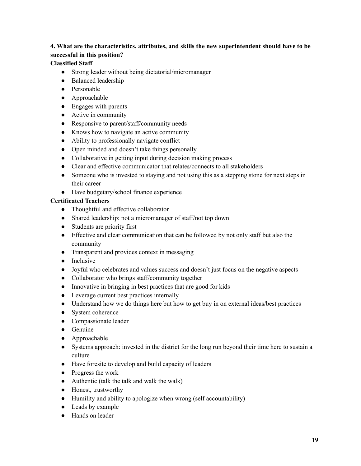# **4. What are the characteristics, attributes, and skills the new superintendent should have to be successful in this position?**

# **Classified Staff**

- Strong leader without being dictatorial/micromanager
- Balanced leadership
- Personable
- Approachable
- Engages with parents
- Active in community
- Responsive to parent/staff/community needs
- Knows how to navigate an active community
- Ability to professionally navigate conflict
- Open minded and doesn't take things personally
- Collaborative in getting input during decision making process
- Clear and effective communicator that relates/connects to all stakeholders
- Someone who is invested to staying and not using this as a stepping stone for next steps in their career
- Have budgetary/school finance experience

# **Certificated Teachers**

- Thoughtful and effective collaborator
- Shared leadership: not a micromanager of staff/not top down
- Students are priority first
- Effective and clear communication that can be followed by not only staff but also the community
- Transparent and provides context in messaging
- Inclusive
- Joyful who celebrates and values success and doesn't just focus on the negative aspects
- Collaborator who brings staff/community together
- Innovative in bringing in best practices that are good for kids
- Leverage current best practices internally
- Understand how we do things here but how to get buy in on external ideas/best practices
- System coherence
- Compassionate leader
- Genuine
- Approachable
- Systems approach: invested in the district for the long run beyond their time here to sustain a culture
- Have foresite to develop and build capacity of leaders
- Progress the work
- Authentic (talk the talk and walk the walk)
- Honest, trustworthy
- Humility and ability to apologize when wrong (self accountability)
- Leads by example
- Hands on leader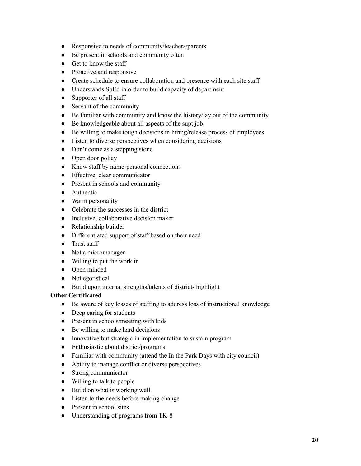- Responsive to needs of community/teachers/parents
- Be present in schools and community often
- Get to know the staff
- Proactive and responsive
- Create schedule to ensure collaboration and presence with each site staff
- Understands SpEd in order to build capacity of department
- Supporter of all staff
- Servant of the community
- Be familiar with community and know the history/lay out of the community
- Be knowledgeable about all aspects of the supt job
- Be willing to make tough decisions in hiring/release process of employees
- Listen to diverse perspectives when considering decisions
- Don't come as a stepping stone
- Open door policy
- Know staff by name-personal connections
- Effective, clear communicator
- Present in schools and community
- Authentic
- Warm personality
- Celebrate the successes in the district
- Inclusive, collaborative decision maker
- Relationship builder
- Differentiated support of staff based on their need
- Trust staff
- Not a micromanager
- Willing to put the work in
- Open minded
- Not egotistical
- Build upon internal strengths/talents of district- highlight

# **Other Certificated**

- Be aware of key losses of staffing to address loss of instructional knowledge
- Deep caring for students
- Present in schools/meeting with kids
- Be willing to make hard decisions
- Innovative but strategic in implementation to sustain program
- Enthusiastic about district/programs
- Familiar with community (attend the In the Park Days with city council)
- Ability to manage conflict or diverse perspectives
- Strong communicator
- Willing to talk to people
- Build on what is working well
- Listen to the needs before making change
- Present in school sites
- Understanding of programs from TK-8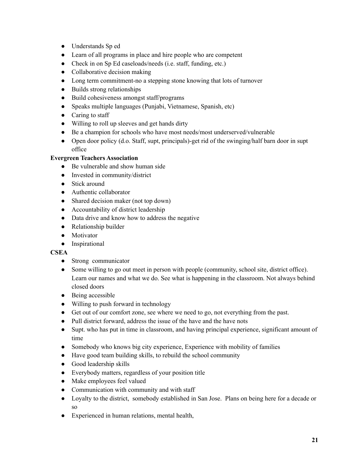- Understands Sp ed
- Learn of all programs in place and hire people who are competent
- Check in on Sp Ed caseloads/needs (i.e. staff, funding, etc.)
- Collaborative decision making
- Long term commitment-no a stepping stone knowing that lots of turnover
- Builds strong relationships
- Build cohesiveness amongst staff/programs
- Speaks multiple languages (Punjabi, Vietnamese, Spanish, etc)
- Caring to staff
- Willing to roll up sleeves and get hands dirty
- Be a champion for schools who have most needs/most underserved/vulnerable
- Open door policy (d.o. Staff, supt, principals)-get rid of the swinging/half barn door in supt office

# **Evergreen Teachers Association**

- Be vulnerable and show human side
- Invested in community/district
- Stick around
- Authentic collaborator
- Shared decision maker (not top down)
- Accountability of district leadership
- Data drive and know how to address the negative
- Relationship builder
- Motivator
- Inspirational

# **CSEA**

- **●** Strong communicator
- Some willing to go out meet in person with people (community, school site, district office). Learn our names and what we do. See what is happening in the classroom. Not always behind closed doors
- Being accessible
- Willing to push forward in technology
- Get out of our comfort zone, see where we need to go, not everything from the past.
- Pull district forward, address the issue of the have and the have nots
- Supt. who has put in time in classroom, and having principal experience, significant amount of time
- Somebody who knows big city experience, Experience with mobility of families
- **●** Have good team building skills, to rebuild the school community
- **●** Good leadership skills
- **●** Everybody matters, regardless of your position title
- **●** Make employees feel valued
- **●** Communication with community and with staff
- **●** Loyalty to the district, somebody established in San Jose. Plans on being here for a decade or so
- Experienced in human relations, mental health,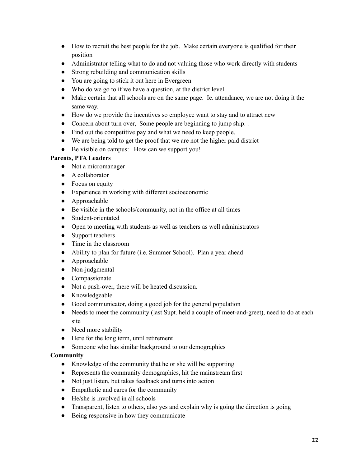- How to recruit the best people for the job. Make certain everyone is qualified for their position
- Administrator telling what to do and not valuing those who work directly with students
- Strong rebuilding and communication skills
- You are going to stick it out here in Evergreen
- Who do we go to if we have a question, at the district level
- Make certain that all schools are on the same page. Ie. attendance, we are not doing it the same way.
- How do we provide the incentives so employee want to stay and to attract new
- Concern about turn over, Some people are beginning to jump ship. .
- Find out the competitive pay and what we need to keep people.
- We are being told to get the proof that we are not the higher paid district
- Be visible on campus: How can we support you!

# **Parents, PTA Leaders**

- Not a micromanager
- A collaborator
- Focus on equity
- Experience in working with different socioeconomic
- Approachable
- Be visible in the schools/community, not in the office at all times
- Student-orientated
- Open to meeting with students as well as teachers as well administrators
- Support teachers
- Time in the classroom
- Ability to plan for future (i.e. Summer School). Plan a year ahead
- Approachable
- Non-judgmental
- Compassionate
- Not a push-over, there will be heated discussion.
- Knowledgeable
- Good communicator, doing a good job for the general population
- Needs to meet the community (last Supt. held a couple of meet-and-greet), need to do at each site
- Need more stability
- Here for the long term, until retirement
- Someone who has similar background to our demographics

# **Community**

- Knowledge of the community that he or she will be supporting
- Represents the community demographics, hit the mainstream first
- Not just listen, but takes feedback and turns into action
- Empathetic and cares for the community
- He/she is involved in all schools
- Transparent, listen to others, also yes and explain why is going the direction is going
- Being responsive in how they communicate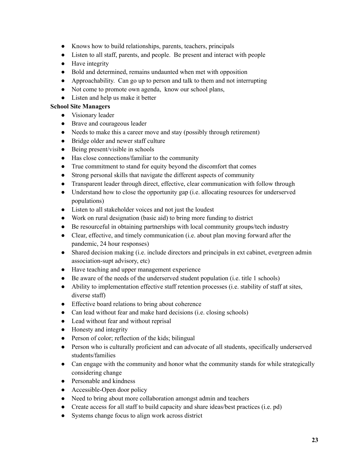- Knows how to build relationships, parents, teachers, principals
- Listen to all staff, parents, and people. Be present and interact with people
- Have integrity
- Bold and determined, remains undaunted when met with opposition
- Approachability. Can go up to person and talk to them and not interrupting
- Not come to promote own agenda, know our school plans,
- Listen and help us make it better

# **School Site Managers**

- Visionary leader
- Brave and courageous leader
- Needs to make this a career move and stay (possibly through retirement)
- Bridge older and newer staff culture
- Being present/visible in schools
- Has close connections/familiar to the community
- True commitment to stand for equity beyond the discomfort that comes
- Strong personal skills that navigate the different aspects of community
- Transparent leader through direct, effective, clear communication with follow through
- Understand how to close the opportunity gap (i.e. allocating resources for underserved populations)
- Listen to all stakeholder voices and not just the loudest
- Work on rural designation (basic aid) to bring more funding to district
- Be resourceful in obtaining partnerships with local community groups/tech industry
- Clear, effective, and timely communication (i.e. about plan moving forward after the pandemic, 24 hour responses)
- Shared decision making (i.e. include directors and principals in ext cabinet, evergreen admin association-supt advisory, etc)
- Have teaching and upper management experience
- Be aware of the needs of the underserved student population (i.e. title 1 schools)
- Ability to implementation effective staff retention processes (i.e. stability of staff at sites, diverse staff)
- Effective board relations to bring about coherence
- Can lead without fear and make hard decisions (i.e. closing schools)
- Lead without fear and without reprisal
- Honesty and integrity
- Person of color; reflection of the kids; bilingual
- Person who is culturally proficient and can advocate of all students, specifically underserved students/families
- Can engage with the community and honor what the community stands for while strategically considering change
- Personable and kindness
- Accessible-Open door policy
- Need to bring about more collaboration amongst admin and teachers
- Create access for all staff to build capacity and share ideas/best practices (i.e. pd)
- Systems change focus to align work across district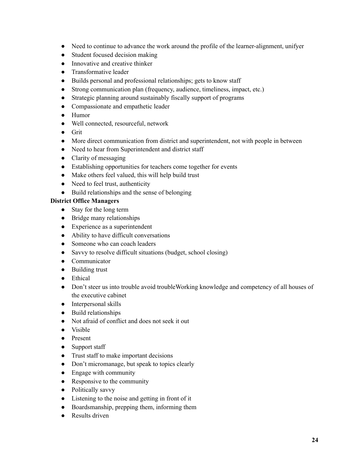- Need to continue to advance the work around the profile of the learner-alignment, unifyer
- Student focused decision making
- Innovative and creative thinker
- Transformative leader
- Builds personal and professional relationships; gets to know staff
- Strong communication plan (frequency, audience, timeliness, impact, etc.)
- Strategic planning around sustainably fiscally support of programs
- Compassionate and empathetic leader
- Humor
- Well connected, resourceful, network
- Grit
- More direct communication from district and superintendent, not with people in between
- Need to hear from Superintendent and district staff
- Clarity of messaging
- Establishing opportunities for teachers come together for events
- Make others feel valued, this will help build trust
- Need to feel trust, authenticity
- Build relationships and the sense of belonging

# **District Office Managers**

- Stay for the long term
- Bridge many relationships
- Experience as a superintendent
- Ability to have difficult conversations
- Someone who can coach leaders
- Savvy to resolve difficult situations (budget, school closing)
- Communicator
- Building trust
- Ethical
- Don't steer us into trouble avoid troubleWorking knowledge and competency of all houses of the executive cabinet
- Interpersonal skills
- Build relationships
- Not afraid of conflict and does not seek it out
- Visible
- Present
- Support staff
- Trust staff to make important decisions
- Don't micromanage, but speak to topics clearly
- Engage with community
- Responsive to the community
- Politically savvy
- Listening to the noise and getting in front of it
- Boardsmanship, prepping them, informing them
- Results driven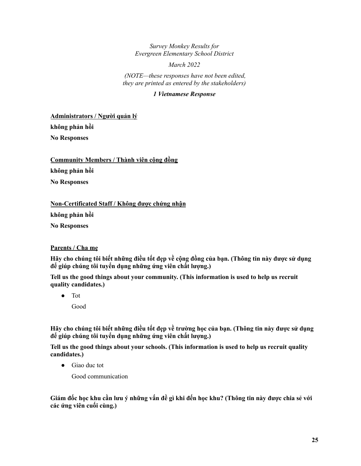*Survey Monkey Results for Evergreen Elementary School District*

*March 2022*

*(NOTE—these responses have not been edited, they are printed as entered by the stakeholders)*

# *1 Vietnamese Response*

**Administrators / Người quản lý không phản hồi No Responses**

**Community Members / Thành viên cộng đồng không phản hồi No Responses**

**Non-Certificated Staff / Không được chứng nhận không phản hồi No Responses**

# **Parents / Cha mẹ**

Hãy cho chúng tôi biết những điều tốt đẹp về cộng đồng của bạn. (Thông tin này được sử dụng **để giúp chúng tôi tuyển dụng những ứng viên chất lượng.)**

**Tell us the good things about your community. (This information is used to help us recruit quality candidates.)**

● Tot

Good

Hãy cho chúng tôi biết những điều tốt đẹp về trường học của ban. (Thông tin này được sử dụng **để giúp chúng tôi tuyển dụng những ứng viên chất lượng.)**

**Tell us the good things about your schools. (This information is used to help us recruit quality candidates.)**

● Giao duc tot

Good communication

Giám đốc học khu cần lưu ý những vấn đề gì khi đến học khu? (Thông tin này được chia sẻ với **các ứng viên cuối cùng.)**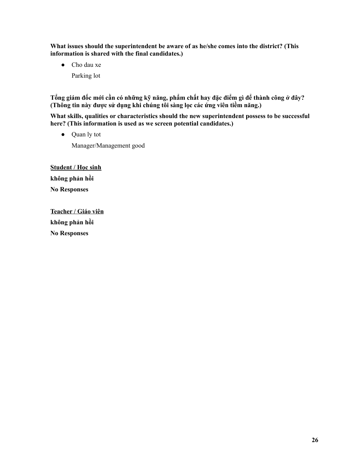**What issues should the superintendent be aware of as he/she comes into the district? (This information is shared with the final candidates.)**

- Cho dau xe
	- Parking lot

Tổng giám đốc mới cần có những kỹ năng, phẩm chất hay đặc điểm gì để thành công ở đây? **(Thông tin này được sử dụng khi chúng tôi sàng lọc các ứng viên tiềm năng.)**

**What skills, qualities or characteristics should the new superintendent possess to be successful here? (This information is used as we screen potential candidates.)**

● Quan ly tot Manager/Management good

**Student / Học sinh không phản hồi No Responses**

**Teacher / Giáo viên không phản hồi No Responses**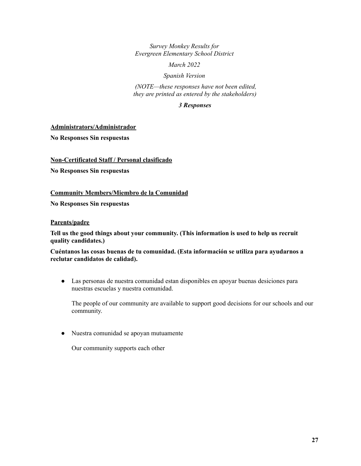*Survey Monkey Results for Evergreen Elementary School District*

*March 2022*

### *Spanish Version*

*(NOTE—these responses have not been edited, they are printed as entered by the stakeholders)*

# *3 Responses*

**Administrators/Administrador**

**No Responses Sin respuestas**

**Non-Certificated Staff / Personal clasificado**

**No Responses Sin respuestas**

# **Community Members/Miembro de la Comunidad**

**No Responses Sin respuestas**

### **Parents/padre**

**Tell us the good things about your community. (This information is used to help us recruit quality candidates.)**

**Cuéntanos las cosas buenas de tu comunidad. (Esta información se utiliza para ayudarnos a reclutar candidatos de calidad).**

● Las personas de nuestra comunidad estan disponibles en apoyar buenas desiciones para nuestras escuelas y nuestra comunidad.

The people of our community are available to support good decisions for our schools and our community.

● Nuestra comunidad se apoyan mutuamente

Our community supports each other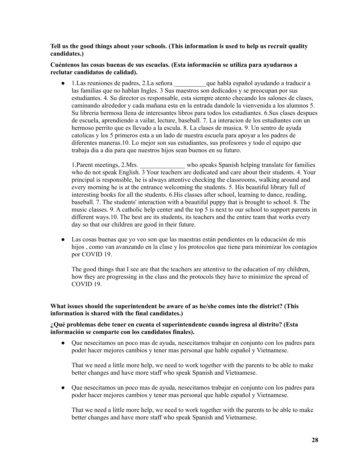**Tell us the good things about your schools. (This information is used to help us recruit quality candidates.)**

**Cuéntenos las cosas buenas de sus escuelas. (Esta información se utiliza para ayudarnos a reclutar candidatos de calidad).**

● 1.Las reuniones de padres, 2.La señora que habla español ayudando a traducir a las familias que no hablan Ingles. 3 Sus maestros son dedicados y se preocupan por sus estudiantes. 4. Su director es responsable, esta siempre atento checando los salones de clases, caminando alrededor y cada mañana esta en la entrada dandole la vienvenida a los alumnos 5. Su libreria hermosa llena de interesantes libros para todos los estudiantes. 6.Sus clases despues de escuela, aprendiendo a vailar, lecture, baseball. 7. La interacion de los estudiantes con un hermoso perrito que es llevado a la escula. 8. La clases de musica. 9. Un sentro de ayuda catolicas y los 5 primeros esta a un lado de nuestra escuela para apoyar a los padres de diferentes maneras.10. Lo mejor son sus estudiantes, sus profesores y todo el equipo que trabaja dia a dia para que nuestros hijos sean buenos en su futuro.

1.Parent meetings, 2.Mrs. \_\_\_\_\_\_\_\_\_\_\_\_\_\_ who speaks Spanish helping translate for families who do not speak English. 3 Your teachers are dedicated and care about their students. 4. Your principal is responsible, he is always attentive checking the classrooms, walking around and every morning he is at the entrance welcoming the students. 5. His beautiful library full of interesting books for all the students. 6.His classes after school, learning to dance, reading, baseball. 7. The students' interaction with a beautiful puppy that is brought to school. 8. The music classes. 9. A catholic help center and the top 5 is next to our school to support parents in different ways.10. The best are its students, its teachers and the entire team that works every day so that our children are good in their future.

● Las cosas buenas que yo veo son que las maestras están pendientes en la educación de mis hijos , como van avanzando en la clase y los protocolos que tiene para minimizar los contagios por COVID 19.

The good things that I see are that the teachers are attentive to the education of my children, how they are progressing in the class and the protocols they have to minimize the spread of COVID 19.

# **What issues should the superintendent be aware of as he/she comes into the district? (This information is shared with the final candidates.)**

# **¿Qué problemas debe tener en cuenta el superintendente cuando ingresa al distrito? (Esta información se comparte con los candidatos finales).**

● Que nesecitamos un poco mas de ayuda, nesecitamos trabajar en conjunto con los padres para poder hacer mejores cambios y tener mas personal que hable español y Vietnamese.

That we need a little more help, we need to work together with the parents to be able to make better changes and have more staff who speak Spanish and Vietnamese.

● Que nesecitamos un poco mas de ayuda, nesecitamos trabajar en conjunto con los padres para poder hacer mejores cambios y tener mas personal que hable español y Vietnamese.

That we need a little more help, we need to work together with the parents to be able to make better changes and have more staff who speak Spanish and Vietnamese.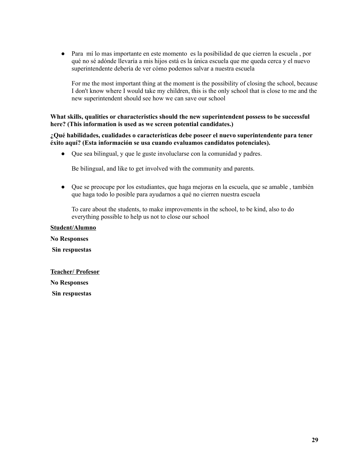● Para mí lo mas importante en este momento es la posibilidad de que cierren la escuela , por qué no sé adónde llevaría a mis hijos está es la única escuela que me queda cerca y el nuevo superintendente debería de ver cómo podemos salvar a nuestra escuela

For me the most important thing at the moment is the possibility of closing the school, because I don't know where I would take my children, this is the only school that is close to me and the new superintendent should see how we can save our school

# **What skills, qualities or characteristics should the new superintendent possess to be successful here? (This information is used as we screen potential candidates.)**

**¿Qué habilidades, cualidades o características debe poseer el nuevo superintendente para tener éxito aquí? (Esta información se usa cuando evaluamos candidatos potenciales).**

● Que sea bilingual, y que le guste involuclarse con la comunidad y padres.

Be bilingual, and like to get involved with the community and parents.

● Que se preocupe por los estudiantes, que haga mejoras en la escuela, que se amable , también que haga todo lo posible para ayudarnos a qué no cierren nuestra escuela

To care about the students, to make improvements in the school, to be kind, also to do everything possible to help us not to close our school

**Student/Alumno No Responses Sin respuestas Teacher/ Profesor**

**No Responses**

**Sin respuestas**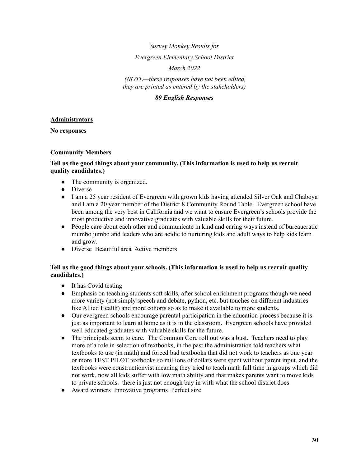# *Survey Monkey Results for*

# *Evergreen Elementary School District*

*March 2022*

*(NOTE—these responses have not been edited, they are printed as entered by the stakeholders)*

# *89 English Responses*

# **Administrators**

**No responses**

# **Community Members**

# **Tell us the good things about your community. (This information is used to help us recruit quality candidates.)**

- The community is organized.
- Diverse
- I am a 25 year resident of Evergreen with grown kids having attended Silver Oak and Chaboya and I am a 20 year member of the District 8 Community Round Table. Evergreen school have been among the very best in California and we want to ensure Evergreen's schools provide the most productive and innovative graduates with valuable skills for their future.
- People care about each other and communicate in kind and caring ways instead of bureaucratic mumbo jumbo and leaders who are acidic to nurturing kids and adult ways to help kids learn and grow.
- Diverse Beautiful area Active members

# **Tell us the good things about your schools. (This information is used to help us recruit quality candidates.)**

- It has Covid testing
- Emphasis on teaching students soft skills, after school enrichment programs though we need more variety (not simply speech and debate, python, etc. but touches on different industries like Allied Health) and more cohorts so as to make it available to more students.
- Our evergreen schools encourage parental participation in the education process because it is just as important to learn at home as it is in the classroom. Evergreen schools have provided well educated graduates with valuable skills for the future.
- The principals seem to care. The Common Core roll out was a bust. Teachers need to play more of a role in selection of textbooks, in the past the administration told teachers what textbooks to use (in math) and forced bad textbooks that did not work to teachers as one year or more TEST PILOT textbooks so millions of dollars were spent without parent input, and the textbooks were constructionvist meaning they tried to teach math full time in groups which did not work, now all kids suffer with low math ability and that makes parents want to move kids to private schools. there is just not enough buy in with what the school district does
- Award winners Innovative programs Perfect size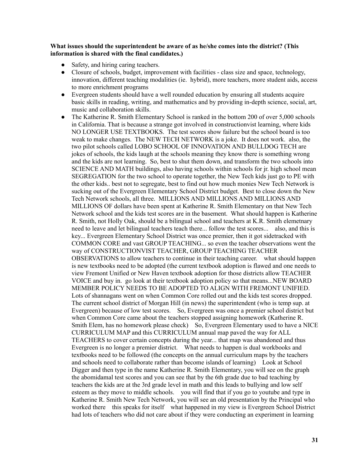# **What issues should the superintendent be aware of as he/she comes into the district? (This information is shared with the final candidates.)**

- Safety, and hiring caring teachers.
- Closure of schools, budget, improvement with facilities class size and space, technology, innovation, different teaching modalities (ie. hybrid), more teachers, more student aids, access to more enrichment programs
- Evergreen students should have a well rounded education by ensuring all students acquire basic skills in reading, writing, and mathematics and by providing in-depth science, social, art, music and collaboration skills.
- The Katherine R. Smith Elementary School is ranked in the bottom 200 of over 5,000 schools in California. That is because a strange got involved in constructionvist learning, where kids NO LONGER USE TEXTBOOKS. The test scores show failure but the school board is too weak to make changes. The NEW TECH NETWORK is a joke. It does not work. also, the two pilot schools called LOBO SCHOOL OF INNOVATION AND BULLDOG TECH are jokes of schools, the kids laugh at the schools meaning they know there is something wrong and the kids are not learning. So, best to shut them down, and transform the two schools into SCIENCE AND MATH buildings, also having schools within schools for jr. high school mean SEGREGATION for the two school to operate together, the New Tech kids just go to PE with the other kids.. best not to segregate, best to find out how much monies New Tech Network is sucking out of the Evergreen Elementary School District budget. Best to close down the New Tech Network schools, all three. MILLIONS AND MILLIONS AND MILLIONS AND MILLIONS OF dollars have been spent at Katherine R. Smith Elementary on that New Tech Network school and the kids test scores are in the basement. What should happen is Katherine R. Smith, not Holly Oak, should be a bilingual school and teachers at K.R. Smith elemetnary need to leave and let bilingual teachers teach there... follow the test scores... also, and this is key... Evergreen Elementary School District was once premier, then it got sidetracked with COMMON CORE and vast GROUP TEACHING... so even the teacher observations went the way of CONSTRUCTIONVIST TEACHER, GROUP TEACHING TEACHER OBSERVATIONS to allow teachers to continue in their teaching career. what should happen is new textbooks need to be adopted (the current textbook adoption is flawed and one needs to view Fremont Unified or New Haven textbook adoption for those districts allow TEACHER VOICE and buy in. go look at their textbook adoption policy so that means...NEW BOARD MEMBER POLICY NEEDS TO BE ADOPTED TO ALIGN WITH FREMONT UNIFIED. Lots of shannagans went on when Common Core rolled out and the kids test scores dropped. The current school district of Morgan Hill (in news) the superintendent (who is temp sup. at Evergreen) because of low test scores. So, Evergreen was once a premier school district but when Common Core came about the teachers stopped assigning homework (Katherine R. Smith Elem, has no homework please check) So, Evergreen Elementary used to have a NICE CURRICULUM MAP and this CURRICULUM annual map paved the way for ALL TEACHERS to cover certain concepts during the year... that map was abandoned and thus Evergreen is no longer a premier district. What needs to happen is dual workbooks and textbooks need to be followed (the concepts on the annual curriculum maps by the teachers and schools need to collaborate rather than become islands of learning) Look at School Digger and then type in the name Katherine R. Smith Elementary, you will see on the graph the abomidamal test scores and you can see that by the 6th grade due to bad teaching by teachers the kids are at the 3rd grade level in math and this leads to bullying and low self esteem as they move to middle schools. you will find that if you go to youtube and type in Katherine R. Smith New Tech Network, you will see an old presentation by the Principal who worked there this speaks for itself what happened in my view is Evergreen School District had lots of teachers who did not care about if they were conducting an experiment in learning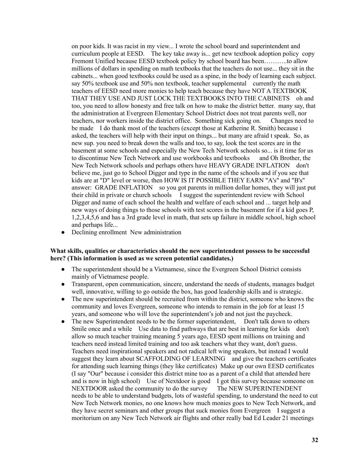on poor kids. It was racist in my view... I wrote the school board and superintendent and curriculum people at EESD. The key take away is... get new textbook adoption policy copy Fremont Unified because EESD textbook policy by school board has been………..to allow millions of dollars in spending on math textbooks that the teachers do not use... they sit in the cabinets... when good textbooks could be used as a spine, in the body of learning each subject. say 50% textbook use and 50% non textbook, teacher supplemental currently the math teachers of EESD need more monies to help teach because they have NOT A TEXTBOOK THAT THEY USE AND JUST LOCK THE TEXTBOOKS INTO THE CABINETS oh and too, you need to allow honesty and free talk on how to make the district better. many say, that the administration at Evergreen Elementary School District does not treat parents well, nor teachers, nor workers inside the district office. Something sick going on. Changes need to be made I do thank most of the teachers (except those at Katherine R. Smith) because i asked, the teachers will help with their input on things... but many are afraid t speak. So, as new sup. you need to break down the walls and too, to say, look the test scores are in the basement at some schools and especially the New Tech Network schools so... is it time for us to discontinue New Tech Network and use workbooks and textbooks and Oh Brother, the New Tech Network schools and perhaps others have HEAVY GRADE INFLATION don't believe me, just go to School Digger and type in the name of the schools and if you see that kids are at "D" level or worse, then HOW IS IT POSSIBLE THEY EARN "A's" and "B's" answer: GRADE INFLATION so you got parents in million dollar homes, they will just put their child in private or church schools I suggest the superintendent review with School Digger and name of each school the health and welfare of each school and ... target help and new ways of doing things to those schools with test scores in the basement for if a kid goes P, 1,2,3,4,5,6 and has a 3rd grade level in math, that sets up failure in middle school, high school and perhaps life...

• Declining enrollment New administration

### **What skills, qualities or characteristics should the new superintendent possess to be successful here? (This information is used as we screen potential candidates.)**

- The superintendent should be a Vietnamese, since the Evergreen School District consists mainly of Vietnamese people.
- Transparent, open communication, sincere, understand the needs of students, manages budget well, innovative, willing to go outside the box, has good leadership skills and is strategic.
- The new superintendent should be recruited from within the district, someone who knows the community and loves Evergreen, someone who intends to remain in the job for at least 15 years, and someone who will love the superintendent's job and not just the paycheck.
- The new Superintendent needs to be the former superintendent. Don't talk down to others Smile once and a while Use data to find pathways that are best in learning for kids don't allow so much teacher training meaning 5 years ago, EESD spent millions on training and teachers need instead limited training and too ask teachers what they want, don't guess. Teachers need inspirational speakers and not radical left wing speakers, but instead I would suggest they learn about SCAFFOLDING OF LEARNING and give the teachers certificates for attending such learning things (they like certificates) Make up our own EESD certificates (I say "Our" because i consider this district mine too as a parent of a child that attended here and is now in high school) Use of Nextdoor is good I got this survey because someone on NEXTDOOR asked the community to do the survey The NEW SUPERINTENDENT needs to be able to understand budgets, lots of wasteful spending, to understand the need to cut New Tech Network monies, no one knows how much monies goes to New Tech Network, and they have secret seminars and other groups that suck monies from Evergreen I suggest a moritorium on any New Tech Network air flights and other really bad Ed Leader 21 meetings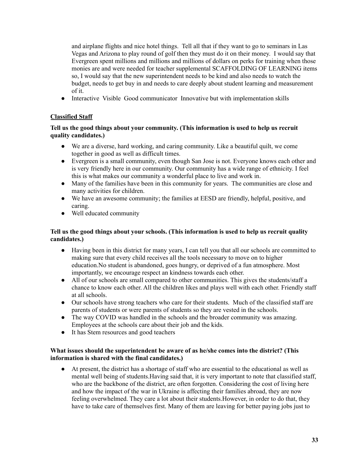and airplane flights and nice hotel things. Tell all that if they want to go to seminars in Las Vegas and Arizona to play round of golf then they must do it on their money. I would say that Evergreen spent millions and millions and millions of dollars on perks for training when those monies are and were needed for teacher supplemental SCAFFOLDING OF LEARNING items so, I would say that the new superintendent needs to be kind and also needs to watch the budget, needs to get buy in and needs to care deeply about student learning and measurement of it.

● Interactive Visible Good communicator Innovative but with implementation skills

# **Classified Staff**

# **Tell us the good things about your community. (This information is used to help us recruit quality candidates.)**

- We are a diverse, hard working, and caring community. Like a beautiful quilt, we come together in good as well as difficult times.
- Evergreen is a small community, even though San Jose is not. Everyone knows each other and is very friendly here in our community. Our community has a wide range of ethnicity. I feel this is what makes our community a wonderful place to live and work in.
- Many of the families have been in this community for years. The communities are close and many activities for children.
- We have an awesome community; the families at EESD are friendly, helpful, positive, and caring.
- Well educated community

# **Tell us the good things about your schools. (This information is used to help us recruit quality candidates.)**

- Having been in this district for many years, I can tell you that all our schools are committed to making sure that every child receives all the tools necessary to move on to higher education.No student is abandoned, goes hungry, or deprived of a fun atmosphere. Most importantly, we encourage respect an kindness towards each other.
- All of our schools are small compared to other communities. This gives the students/staff a chance to know each other. All the children likes and plays well with each other. Friendly staff at all schools.
- Our schools have strong teachers who care for their students. Much of the classified staff are parents of students or were parents of students so they are vested in the schools.
- The way COVID was handled in the schools and the broader community was amazing. Employees at the schools care about their job and the kids.
- It has Stem resources and good teachers

# **What issues should the superintendent be aware of as he/she comes into the district? (This information is shared with the final candidates.)**

● At present, the district has a shortage of staff who are essential to the educational as well as mental well being of students.Having said that, it is very important to note that classified staff, who are the backbone of the district, are often forgotten. Considering the cost of living here and how the impact of the war in Ukraine is affecting their families abroad, they are now feeling overwhelmed. They care a lot about their students.However, in order to do that, they have to take care of themselves first. Many of them are leaving for better paying jobs just to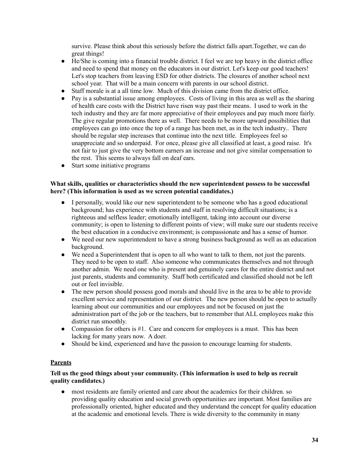survive. Please think about this seriously before the district falls apart.Together, we can do great things!

- He/She is coming into a financial trouble district. I feel we are top heavy in the district office and need to spend that money on the educators in our district. Let's keep our good teachers! Let's stop teachers from leaving ESD for other districts. The closures of another school next school year. That will be a main concern with parents in our school district.
- Staff morale is at a all time low. Much of this division came from the district office.
- Pay is a substantial issue among employees. Costs of living in this area as well as the sharing of health care costs with the District have risen way past their means. I used to work in the tech industry and they are far more appreciative of their employees and pay much more fairly. The give regular promotions there as well. There needs to be more upward possibilities that employees can go into once the top of a range has been met, as in the tech industry.. There should be regular step increases that continue into the next title. Employees feel so unappreciate and so underpaid. For once, please give all classified at least, a good raise. It's not fair to just give the very bottom earners an increase and not give similar compensation to the rest. This seems to always fall on deaf ears.
- Start some initiative programs

### **What skills, qualities or characteristics should the new superintendent possess to be successful here? (This information is used as we screen potential candidates.)**

- I personally, would like our new superintendent to be someone who has a good educational background; has experience with students and staff in resolving difficult situations; is a righteous and selfless leader; emotionally intelligent, taking into account our diverse community; is open to listening to different points of view; will make sure our students receive the best education in a conducive environment; is compassionate and has a sense of humor.
- We need our new superintendent to have a strong business background as well as an education background.
- We need a Superintendent that is open to all who want to talk to them, not just the parents. They need to be open to staff. Also someone who communicates themselves and not through another admin. We need one who is present and genuinely cares for the entire district and not just parents, students and community. Staff both certificated and classified should not be left out or feel invisible.
- The new person should possess good morals and should live in the area to be able to provide excellent service and representation of our district. The new person should be open to actually learning about our communities and our employees and not be focused on just the administration part of the job or the teachers, but to remember that ALL employees make this district run smoothly.
- Compassion for others is  $\#1$ . Care and concern for employees is a must. This has been lacking for many years now. A doer.
- Should be kind, experienced and have the passion to encourage learning for students.

# **Parents**

# **Tell us the good things about your community. (This information is used to help us recruit quality candidates.)**

most residents are family oriented and care about the academics for their children. so providing quality education and social growth opportunities are important. Most families are professionally oriented, higher educated and they understand the concept for quality education at the academic and emotional levels. There is wide diversity to the community in many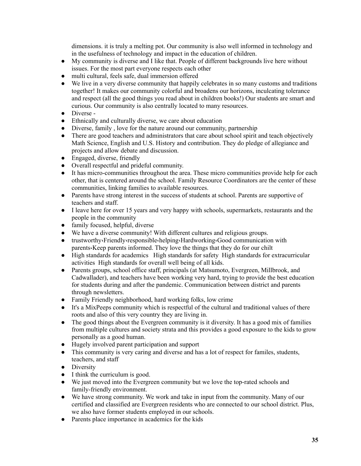dimensions. it is truly a melting pot. Our community is also well informed in technology and in the usefulness of technology and impact in the education of children.

- My community is diverse and I like that. People of different backgrounds live here without issues. For the most part everyone respects each other
- multi cultural, feels safe, dual immersion offered
- We live in a very diverse community that happily celebrates in so many customs and traditions together! It makes our community colorful and broadens our horizons, inculcating tolerance and respect (all the good things you read about in children books!) Our students are smart and curious. Our community is also centrally located to many resources.
- Diverse -
- Ethnically and culturally diverse, we care about education
- Diverse, family, love for the nature around our community, partnership
- There are good teachers and administrators that care about school spirit and teach objectively Math Science, English and U.S. History and contribution. They do pledge of allegiance and projects and allow debate and discussion.
- Engaged, diverse, friendly
- Overall respectful and prideful community.
- It has micro-communities throughout the area. These micro communities provide help for each other, that is centered around the school. Family Resource Coordinators are the center of these communities, linking families to available resources.
- Parents have strong interest in the success of students at school. Parents are supportive of teachers and staff.
- I leave here for over 15 years and very happy with schools, supermarkets, restaurants and the people in the community
- family focused, helpful, diverse
- We have a diverse community! With different cultures and religious groups.
- trustworthy،Friendly،responsible،helping،Hardworking،Good communication with parents،Keep parents informed. They love the things that they do for our chilt
- High standards for academics High standards for safety High standards for extracurricular activities High standards for overall well being of all kids.
- Parents groups, school office staff, principals (at Matsumoto, Evergreen, Millbrook, and Cadwallader), and teachers have been working very hard, trying to provide the best education for students during and after the pandemic. Communication between district and parents through newsletters.
- Family Friendly neighborhood, hard working folks, low crime
- It's a MixPeeps community which is respectful of the cultural and traditional values of there roots and also of this very country they are living in.
- The good things about the Evergreen community is it diversity. It has a good mix of families from multiple cultures and society strata and this provides a good exposure to the kids to grow personally as a good human.
- Hugely involved parent participation and support
- This community is very caring and diverse and has a lot of respect for familes, students, teachers, and staff
- Diversity
- I think the curriculum is good.
- We just moved into the Evergreen community but we love the top-rated schools and family-friendly environment.
- We have strong community. We work and take in input from the community. Many of our certified and classified are Evergreen residents who are connected to our school district. Plus, we also have former students employed in our schools.
- Parents place importance in academics for the kids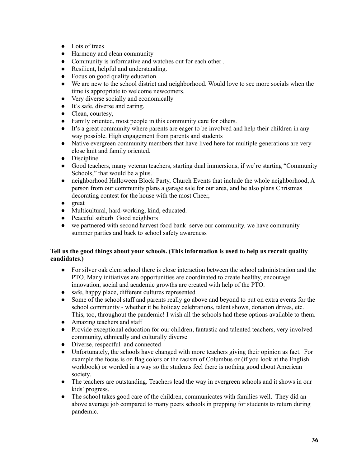- Lots of trees
- Harmony and clean community
- Community is informative and watches out for each other.
- Resilient, helpful and understanding.
- Focus on good quality education.
- We are new to the school district and neighborhood. Would love to see more socials when the time is appropriate to welcome newcomers.
- Very diverse socially and economically
- It's safe, diverse and caring.
- Clean, courtesy,
- Family oriented, most people in this community care for others.
- It's a great community where parents are eager to be involved and help their children in any way possible. High engagement from parents and students
- Native evergreen community members that have lived here for multiple generations are very close knit and family oriented.
- Discipline
- Good teachers, many veteran teachers, starting dual immersions, if we're starting "Community" Schools," that would be a plus.
- neighborhood Halloween Block Party, Church Events that include the whole neighborhood, A person from our community plans a garage sale for our area, and he also plans Christmas decorating contest for the house with the most Cheer,
- great
- Multicultural, hard-working, kind, educated.
- Peaceful suburb Good neighbors
- we partnered with second harvest food bank serve our community. we have community summer parties and back to school safety awareness

# **Tell us the good things about your schools. (This information is used to help us recruit quality candidates.)**

- For silver oak elem school there is close interaction between the school administration and the PTO. Many initiatives are opportunities are coordinated to create healthy, encourage innovation, social and academic growths are created with help of the PTO.
- safe, happy place, different cultures represented
- Some of the school staff and parents really go above and beyond to put on extra events for the school community - whether it be holiday celebrations, talent shows, donation drives, etc. This, too, throughout the pandemic! I wish all the schools had these options available to them.
- Amazing teachers and staff
- Provide exceptional education for our children, fantastic and talented teachers, very involved community, ethnically and culturally diverse
- Diverse, respectful and connected
- Unfortunately, the schools have changed with more teachers giving their opinion as fact. For example the focus is on flag colors or the racism of Columbus or (if you look at the English workbook) or worded in a way so the students feel there is nothing good about American society.
- The teachers are outstanding. Teachers lead the way in evergreen schools and it shows in our kids' progress.
- The school takes good care of the children, communicates with families well. They did an above average job compared to many peers schools in prepping for students to return during pandemic.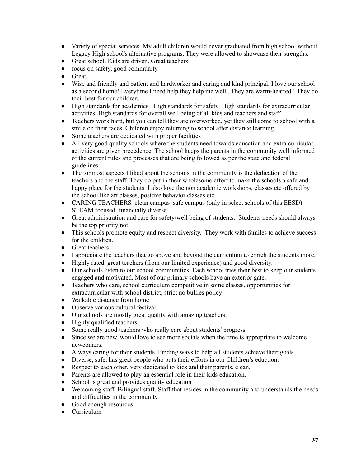- Variety of special services. My adult children would never graduated from high school without Legacy High school's alternative programs. They were allowed to showcase their strengths.
- Great school. Kids are driven. Great teachers
- focus on safety, good community
- Great
- Wise and friendly and patient and hardworker and caring and kind principal. I love our school as a second home! Everytime I need help they help me well . They are warm-hearted ! They do their best for our children.
- High standards for academics High standards for safety High standards for extracurricular activities High standards for overall well being of all kids and teachers and staff.
- Teachers work hard, but you can tell they are overworked, yet they still come to school with a smile on their faces. Children enjoy returning to school after distance learning.
- Some teachers are dedicated with proper facilities
- All very good quality schools where the students need towards education and extra curricular activities are given precedence. The school keeps the parents in the community well informed of the current rules and processes that are being followed as per the state and federal guidelines.
- The topmost aspects I liked about the schools in the community is the dedication of the teachers and the staff. They do put in their wholesome effort to make the schools a safe and happy place for the students. I also love the non academic workshops, classes etc offered by the school like art classes, positive behavior classes etc
- CARING TEACHERS clean campus safe campus (only in select schools of this EESD) STEAM focused financially diverse
- Great administration and care for safety/well being of students. Students needs should always be the top priority not
- This schools promote equity and respect diversity. They work with familes to achieve success for the children.
- Great teachers
- I appreciate the teachers that go above and beyond the curriculum to enrich the students more.
- Highly rated, great teachers (from our limited experience) and good diversity.
- Our schools listen to our school communities. Each school tries their best to keep our students engaged and motivated. Most of our primary schools have an exterior gate.
- Teachers who care, school curriculum competitive in some classes, opportunities for extracurricular with school district, strict no bullies policy
- Walkable distance from home
- Observe various cultural festival
- Our schools are mostly great quality with amazing teachers.
- Highly qualified teachers
- Some really good teachers who really care about students' progress.
- Since we are new, would love to see more socials when the time is appropriate to welcome newcomers.
- Always caring for their students. Finding ways to help all students achieve their goals
- Diverse, safe, has great people who puts their efforts in our Children's eduction.
- Respect to each other, very dedicated to kids and their parents, clean,
- Parents are allowed to play an essential role in their kids education.
- School is great and provides quality education
- Welcoming staff. Bilingual staff. Staff that resides in the community and understands the needs and difficulties in the community.
- Good enough resources
- Curriculum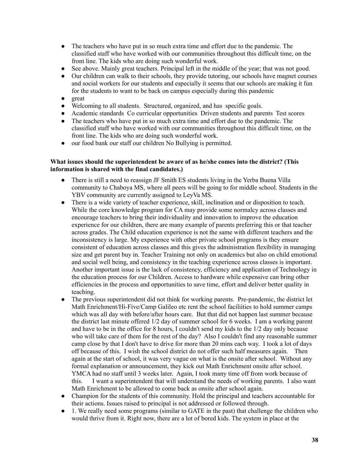- The teachers who have put in so much extra time and effort due to the pandemic. The classified staff who have worked with our communities throughout this difficult time, on the front line. The kids who are doing such wonderful work.
- See above. Mainly great teachers. Principal left in the middle of the year; that was not good.
- Our children can walk to their schools, they provide tutoring, our schools have magnet courses and social workers for our students and especially it seems that our schools are making it fun for the students to want to be back on campus especially during this pandemic
- great
- Welcoming to all students. Structured, organized, and has specific goals.
- Academic standards Co curricular opportunities Driven students and parents Test scores
- The teachers who have put in so much extra time and effort due to the pandemic. The classified staff who have worked with our communities throughout this difficult time, on the front line. The kids who are doing such wonderful work.
- our food bank our staff our children No Bullying is permitted.

# **What issues should the superintendent be aware of as he/she comes into the district? (This information is shared with the final candidates.)**

- There is still a need to reassign JF Smith ES students living in the Yerba Buena Villa community to Chaboya MS, where all peers will be going to for middle school. Students in the YBV community are currently assigned to LeyVa MS.
- There is a wide variety of teacher experience, skill, inclination and or disposition to teach. While the core knowledge program for CA may provide some normalcy across classes and encourage teachers to bring their individuality and innovation to improve the education experience for our children, there are many example of parents preferring this or that teacher across grades. The Child education experience is not the same with different teachers and the inconsistency is large. My experience with other private school programs is they ensure consistent of education across classes and this gives the administration flexibility in managing size and get parent buy in. Teacher Training not only on academics but also on child emotional and social well being, and consistency in the teaching experience across classes is important. Another important issue is the lack of consistency, efficiency and application of Technology in the education process for our Children. Access to hardware while expensive can bring other efficiencies in the process and opportunities to save time, effort and deliver better quality in teaching.
- The previous superintendent did not think for working parents. Pre-pandemic, the district let Math Enrichment/Hi-Five/Camp Galileo etc rent the school faciliities to hold summer camps which was all day with before/after hours care. But that did not happen last summer because the district last minute offered 1/2 day of summer school for 6 weeks. I am a working parent and have to be in the office for 8 hours, I couldn't send my kids to the 1/2 day only because who will take care of them for the rest of the day? Also I couldn't find any reasonable summer camp close by that I don't have to drive for more than 20 mins each way. I took a lot of days off because of this. I wish the school district do not offer such half measures again. Then again at the start of school, it was very vague on what is the onsite after school. Without any formal explanation or announcement, they kick out Math Enrichment onsite after school. YMCA had no staff until 3 weeks later. Again, I took many time off from work because of this. I want a superintendent that will understand the needs of working parents. I also want Math Enrichment to be allowed to come back as onsite after school again.
- Champion for the students of this community. Hold the principal and teachers accountable for their actions. Issues raised to principal is not addressed or followed through.
- 1. We really need some programs (similar to GATE in the past) that challenge the children who would thrive from it. Right now, there are a lot of bored kids. The system in place at the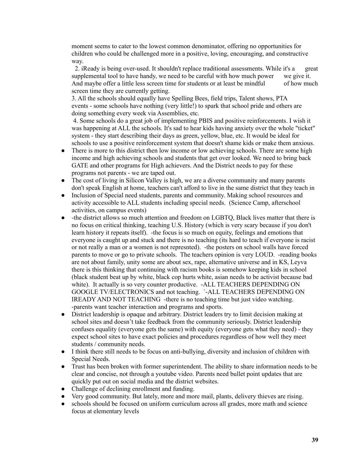moment seems to cater to the lowest common denominator, offering no opportunities for children who could be challenged more in a positive, loving, encouraging, and constructive way.

2. iReady is being over-used. It shouldn't replace traditional assessments. While it's a great supplemental tool to have handy, we need to be careful with how much power we give it. And maybe offer a little less screen time for students or at least be mindful of how much screen time they are currently getting.

3. All the schools should equally have Spelling Bees, field trips, Talent shows, PTA events - some schools have nothing (very little!) to spark that school pride and others are doing something every week via Assemblies, etc.

4. Some schools do a great job of implementing PBIS and positive reinforcements. I wish it was happening at ALL the schools. It's sad to hear kids having anxiety over the whole "ticket" system - they start describing their days as green, yellow, blue, etc. It would be ideal for schools to use a positive reinforcement system that doesn't shame kids or make them anxious.

- There is more to this district then low income or low achieving schools. There are some high income and high achieving schools and students that get over looked. We need to bring back GATE and other programs for High achievers. And the District needs to pay for these programs not parents - we are taped out.
- The cost of living in Silicon Valley is high, we are a diverse community and many parents don't speak English at home, teachers can't afford to live in the same district that they teach in
- Inclusion of Special need students, parents and community. Making school resources and activity accessible to ALL students including special needs. (Science Camp, afterschool activities, on campus events)
- -the district allows so much attention and freedom on LGBTO. Black lives matter that there is no focus on critical thinking, teaching U.S. History (which is very scary because if you don't learn history it repeats itself). -the focus is so much on equity, feelings and emotions that everyone is caught up and stuck and there is no teaching (its hard to teach if everyone is racist or not really a man or a women is not represnted). -the posters on school walls have forced parents to move or go to private schools. The teachers opinion is very LOUD. -reading books are not about family, unity some are about sex, rape, alternative universe and in KS, Leyva there is this thinking that continuing with racism books is somehow keeping kids in school (black student beat up by white, black cop hurts white, asian needs to be activist because bad white). It actually is so very counter productive. -ALL TEACHERS DEPENDING ON GOOGLE TV/ELECTRONICS and not teaching. `-ALL TEACHERS DEPENDING ON IREADY AND NOT TEACHING -there is no teaching time but just video watching. -parents want teacher interaction and programs and sports.
- District leadership is opaque and arbitrary. District leaders try to limit decision making at school sites and doesn't take feedback from the community seriously. District leadership confuses equality (everyone gets the same) with equity (everyone gets what they need) - they expect school sites to have exact policies and procedures regardless of how well they meet students / community needs.
- I think there still needs to be focus on anti-bullying, diversity and inclusion of children with Special Needs.
- Trust has been broken with former superintendent. The ability to share information needs to be clear and concise, not through a youtube video. Parents need bullet point updates that are quickly put out on social media and the district websites.
- Challenge of declining enrollment and funding.
- Very good community. But lately, more and more mail, plants, delivery thieves are rising.
- schools should be focused on uniform curriculum across all grades, more math and science focus at elementary levels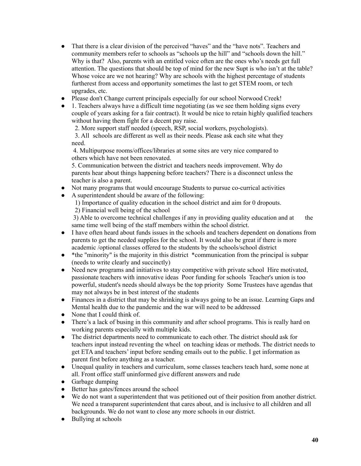- That there is a clear division of the perceived "haves" and the "have nots". Teachers and community members refer to schools as "schools up the hill" and "schools down the hill." Why is that? Also, parents with an entitled voice often are the ones who's needs get full attention. The questions that should be top of mind for the new Supt is who isn't at the table? Whose voice are we not hearing? Why are schools with the highest percentage of students furtherest from access and opportunity sometimes the last to get STEM room, or tech upgrades, etc.
- Please don't Change current principals especially for our school Norwood Creek!
- 1. Teachers always have a difficult time negotiating (as we see them holding signs every couple of years asking for a fair contract). It would be nice to retain highly qualified teachers without having them fight for a decent pay raise.

2. More support staff needed (speech, RSP, social workers, psychologists).

3. All schools are different as well as their needs. Please ask each site what they need.

4. Multipurpose rooms/offices/libraries at some sites are very nice compared to others which have not been renovated.

5. Communication between the district and teachers needs improvement. Why do parents hear about things happening before teachers? There is a disconnect unless the teacher is also a parent.

- Not many programs that would encourage Students to pursue co-currical activities
- A superintendent should be aware of the following:

1) Importance of quality education in the school district and aim for 0 dropouts. 2) Financial well being of the school

3) Able to overcome technical challenges if any in providing quality education and at the same time well being of the staff members within the school district.

- I have often heard about funds issues in the schools and teachers dependent on donations from parents to get the needed supplies for the school. It would also be great if there is more academic /optional classes offered to the students by the schools/school district
- \* the "minority" is the majority in this district \* communication from the principal is subpar (needs to write clearly and succinctly)
- Need new programs and initiatives to stay competitive with private school Hire motivated, passionate teachers with innovative ideas Poor funding for schools Teacher's union is too powerful, student's needs should always be the top priority Some Trustees have agendas that may not always be in best interest of the students
- Finances in a district that may be shrinking is always going to be an issue. Learning Gaps and Mental health due to the pandemic and the war will need to be addressed
- None that I could think of.
- There's a lack of busing in this community and after school programs. This is really hard on working parents especially with multiple kids.
- The district departments need to communicate to each other. The district should ask for teachers input instead reventing the wheel on teaching ideas or methods. The district needs to get ETA and teachers' input before sending emails out to the public. I get information as parent first before anything as a teacher.
- Unequal quality in teachers and curriculum, some classes teachers teach hard, some none at all. Front office staff uninformed give different answers and rude
- Garbage dumping
- Better has gates/fences around the school
- We do not want a superintendent that was petitioned out of their position from another district. We need a transparent superintendent that cares about, and is inclusive to all children and all backgrounds. We do not want to close any more schools in our district.
- Bullying at schools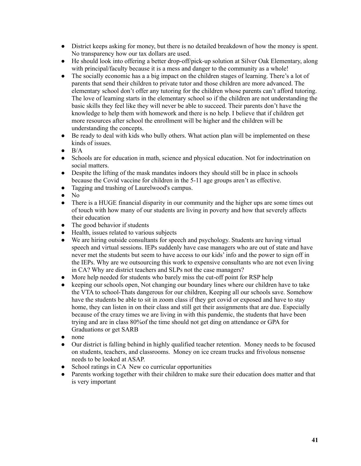- District keeps asking for money, but there is no detailed breakdown of how the money is spent. No transparency how our tax dollars are used.
- He should look into offering a better drop-off/pick-up solution at Silver Oak Elementary, along with principal/faculty because it is a mess and danger to the community as a whole!
- The socially economic has a a big impact on the children stages of learning. There's a lot of parents that send their children to private tutor and those children are more advanced. The elementary school don't offer any tutoring for the children whose parents can't afford tutoring. The love of learning starts in the elementary school so if the children are not understanding the basic skills they feel like they will never be able to succeed. Their parents don't have the knowledge to help them with homework and there is no help. I believe that if children get more resources after school the enrollment will be higher and the children will be understanding the concepts.
- Be ready to deal with kids who bully others. What action plan will be implemented on these kinds of issues.
- $\bullet$  B/A
- Schools are for education in math, science and physical education. Not for indoctrination on social matters.
- Despite the lifting of the mask mandates indoors they should still be in place in schools because the Covid vaccine for children in the 5-11 age groups aren't as effective.
- Tagging and trashing of Laurelwood's campus.
- $\bullet$  No
- There is a HUGE financial disparity in our community and the higher ups are some times out of touch with how many of our students are living in poverty and how that severely affects their education
- The good behavior if students
- Health, issues related to various subjects
- We are hiring outside consultants for speech and psychology. Students are having virtual speech and virtual sessions. IEPs suddenly have case managers who are out of state and have never met the students but seem to have access to our kids' info and the power to sign off in the IEPs. Why are we outsourcing this work to expensive consultants who are not even living in CA? Why are district teachers and SLPs not the case managers?
- More help needed for students who barely miss the cut-off point for RSP help
- keeping our schools open, Not changing our boundary lines where our children have to take the VTA to school-Thats dangerous for our children, Keeping all our schools save. Somehow have the students be able to sit in zoom class if they get covid or exposed and have to stay home, they can listen in on their class and still get their assignments that are due. Especially because of the crazy times we are living in with this pandemic, the students that have been trying and are in class 80%of the time should not get ding on attendance or GPA for Graduations or get SARB
- none
- Our district is falling behind in highly qualified teacher retention. Money needs to be focused on students, teachers, and classrooms. Money on ice cream trucks and frivolous nonsense needs to be looked at ASAP.
- School ratings in CA New co curricular opportunities
- Parents working together with their children to make sure their education does matter and that is very important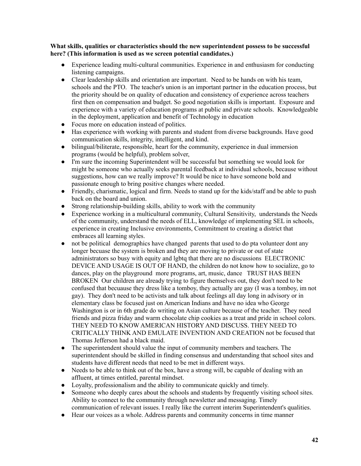# **What skills, qualities or characteristics should the new superintendent possess to be successful here? (This information is used as we screen potential candidates.)**

- Experience leading multi-cultural communities. Experience in and enthusiasm for conducting listening campaigns.
- Clear leadership skills and orientation are important. Need to be hands on with his team, schools and the PTO. The teacher's union is an important partner in the education process, but the priority should be on quality of education and consistency of experience across teachers first then on compensation and budget. So good negotiation skills is important. Exposure and experience with a variety of education programs at public and private schools. Knowledgeable in the deployment, application and benefit of Technology in education
- Focus more on education instead of politics.
- Has experience with working with parents and student from diverse backgrounds. Have good communication skills, integrity, intelligent, and kind.
- bilingual/biliterate, responsible, heart for the community, experience in dual immersion programs (would be helpful), problem solver,
- I'm sure the incoming Superintendent will be successful but something we would look for might be someone who actually seeks parental feedback at individual schools, because without suggestions, how can we really improve? It would be nice to have someone bold and passionate enough to bring positive changes where needed.
- Friendly, charismatic, logical and firm. Needs to stand up for the kids/staff and be able to push back on the board and union.
- Strong relationship-building skills, ability to work with the community
- Experience working in a multicultural community, Cultural Sensitivity, understands the Needs of the community, understand the needs of ELL, knowledge of implementing SEL in schools, experience in creating Inclusive environments, Commitment to creating a district that embraces all learning styles.
- not be political demographics have changed parents that used to do pta volunteer dont any longer becuase the system is broken and they are moving to private or out of state administrators so busy with equity and lgbtq that there are no discussions ELECTRONIC DEVICE AND USAGE IS OUT OF HAND, the children do not know how to socialize, go to dances, play on the playground more programs, art, music, dance TRUST HAS BEEN BROKEN Our children are already trying to figure themselves out, they don't need to be confused that becuause they dress like a tomboy, they actually are gay (I was a tomboy, im not gay). They don't need to be activists and talk about feelings all day long in advisory or in elementary class be focused just on American Indians and have no idea who George Washington is or in 6th grade do writing on Asian culture because of the teacher. They need friends and pizza friday and warm chocolate chip cookies as a treat and pride in school colors. THEY NEED TO KNOW AMERICAN HISTORY AND DISCUSS. THEY NEED TO CRITICALLY THINK AND EMULATE INVENTION AND CREATION not be focused that Thomas Jefferson had a black maid.
- The superintendent should value the input of community members and teachers. The superintendent should be skilled in finding consensus and understanding that school sites and students have different needs that need to be met in different ways.
- Needs to be able to think out of the box, have a strong will, be capable of dealing with an affluent, at times entitled, parental mindset.
- Loyalty, professionalism and the ability to communicate quickly and timely.
- Someone who deeply cares about the schools and students by frequently visiting school sites. Ability to connect to the community through newsletter and messaging. Timely communication of relevant issues. I really like the current interim Superintendent's qualities.
- Hear our voices as a whole. Address parents and community concerns in time manner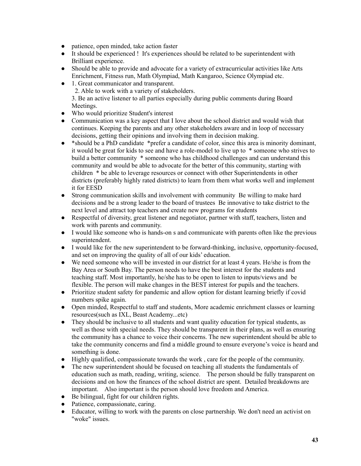- patience, open minded, take action faster
- It should be experienced ! It's experiences should be related to be superintendent with Brilliant experience.
- Should be able to provide and advocate for a variety of extracurricular activities like Arts Enrichment, Fitness run, Math Olympiad, Math Kangaroo, Science Olympiad etc.
- 1. Great communicator and transparent.

2. Able to work with a variety of stakeholders.

3. Be an active listener to all parties especially during public comments during Board Meetings.

- Who would prioritize Student's interest
- Communication was a key aspect that I love about the school district and would wish that continues. Keeping the parents and any other stakeholders aware and in loop of necessary decisions, getting their opinions and involving them in decision making.
- \*should be a PhD candidate \*prefer a candidate of color, since this area is minority dominant, it would be great for kids to see and have a role-model to live up to \* someone who strives to build a better community \* someone who has childhood challenges and can understand this community and would be able to advocate for the better of this community, starting with children \* be able to leverage resources or connect with other Superintendents in other districts (preferably highly rated districts) to learn from them what works well and implement it for EESD
- Strong communication skills and involvement with community Be willing to make hard decisions and be a strong leader to the board of trustees Be innovative to take district to the next level and attract top teachers and create new programs for students
- Respectful of diversity, great listener and negotiator, partner with staff, teachers, listen and work with parents and community.
- I would like someone who is hands-on s and communicate with parents often like the previous superintendent.
- I would like for the new superintendent to be forward-thinking, inclusive, opportunity-focused, and set on improving the quality of all of our kids' education.
- We need someone who will be invested in our district for at least 4 years. He/she is from the Bay Area or South Bay. The person needs to have the best interest for the students and teaching staff. Most importantly, he/she has to be open to listen to inputs/views and be flexible. The person will make changes in the BEST interest for pupils and the teachers.
- Prioritize student safety for pandemic and allow option for distant learning briefly if covid numbers spike again.
- Open minded, Respectful to staff and students, More academic enrichment classes or learning resources(such as IXL, Beast Academy...etc)
- They should be inclusive to all students and want quality education for typical students, as well as those with special needs. They should be transparent in their plans, as well as ensuring the community has a chance to voice their concerns. The new superintendent should be able to take the community concerns and find a middle ground to ensure everyone's voice is heard and something is done.
- Highly qualified, compassionate towards the work, care for the people of the community.
- The new superintendent should be focused on teaching all students the fundamentals of education such as math, reading, writing, science. The person should be fully transparent on decisions and on how the finances of the school district are spent. Detailed breakdowns are important. Also important is the person should love freedom and America.
- Be bilingual, fight for our children rights.
- Patience, compassionate, caring.
- Educator, willing to work with the parents on close partnership. We don't need an activist on "woke" issues.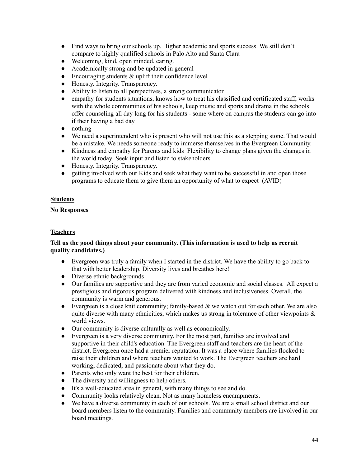- Find ways to bring our schools up. Higher academic and sports success. We still don't compare to highly qualified schools in Palo Alto and Santa Clara
- Welcoming, kind, open minded, caring.
- Academically strong and be updated in general
- Encouraging students  $\&$  uplift their confidence level
- Honesty. Integrity. Transparency.
- Ability to listen to all perspectives, a strong communicator
- empathy for students situations, knows how to treat his classified and certificated staff, works with the whole communities of his schools, keep music and sports and drama in the schools offer counseling all day long for his students - some where on campus the students can go into if their having a bad day
- nothing
- We need a superintendent who is present who will not use this as a stepping stone. That would be a mistake. We needs someone ready to immerse themselves in the Evergreen Community.
- Kindness and empathy for Parents and kids Flexibility to change plans given the changes in the world today Seek input and listen to stakeholders
- Honesty. Integrity. Transparency.
- getting involved with our Kids and seek what they want to be successful in and open those programs to educate them to give them an opportunity of what to expect (AVID)

# **Students**

# **No Responses**

# **Teachers**

# **Tell us the good things about your community. (This information is used to help us recruit quality candidates.)**

- Evergreen was truly a family when I started in the district. We have the ability to go back to that with better leadership. Diversity lives and breathes here!
- Diverse ethnic backgrounds
- Our families are supportive and they are from varied economic and social classes. All expect a prestigious and rigorous program delivered with kindness and inclusiveness. Overall, the community is warm and generous.
- Evergreen is a close knit community; family-based  $\&$  we watch out for each other. We are also quite diverse with many ethnicities, which makes us strong in tolerance of other viewpoints  $\&$ world views.
- Our community is diverse culturally as well as economically.
- Evergreen is a very diverse community. For the most part, families are involved and supportive in their child's education. The Evergreen staff and teachers are the heart of the district. Evergreen once had a premier reputation. It was a place where families flocked to raise their children and where teachers wanted to work. The Evergreen teachers are hard working, dedicated, and passionate about what they do.
- Parents who only want the best for their children.
- The diversity and willingness to help others.
- It's a well-educated area in general, with many things to see and do.
- Community looks relatively clean. Not as many homeless encampments.
- We have a diverse community in each of our schools. We are a small school district and our board members listen to the community. Families and community members are involved in our board meetings.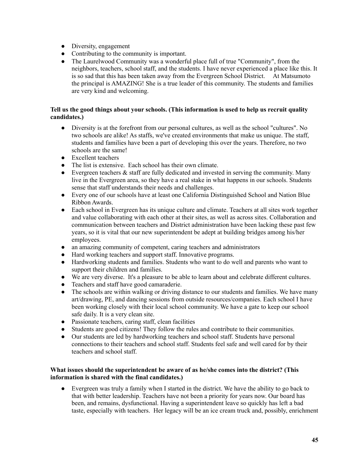- Diversity, engagement
- Contributing to the community is important.
- The Laurelwood Community was a wonderful place full of true "Community", from the neighbors, teachers, school staff, and the students. I have never experienced a place like this. It is so sad that this has been taken away from the Evergreen School District. At Matsumoto the principal is AMAZING! She is a true leader of this community. The students and families are very kind and welcoming.

# **Tell us the good things about your schools. (This information is used to help us recruit quality candidates.)**

- Diversity is at the forefront from our personal cultures, as well as the school "cultures". No two schools are alike! As staffs, we've created environments that make us unique. The staff, students and families have been a part of developing this over the years. Therefore, no two schools are the same!
- Excellent teachers
- The list is extensive. Each school has their own climate.
- Evergreen teachers  $\&$  staff are fully dedicated and invested in serving the community. Many live in the Evergreen area, so they have a real stake in what happens in our schools. Students sense that staff understands their needs and challenges.
- Every one of our schools have at least one California Distinguished School and Nation Blue Ribbon Awards.
- Each school in Evergreen has its unique culture and climate. Teachers at all sites work together and value collaborating with each other at their sites, as well as across sites. Collaboration and communication between teachers and District administration have been lacking these past few years, so it is vital that our new superintendent be adept at building bridges among his/her employees.
- an amazing community of competent, caring teachers and administrators
- Hard working teachers and support staff. Innovative programs.
- Hardworking students and families. Students who want to do well and parents who want to support their children and families.
- We are very diverse. It's a pleasure to be able to learn about and celebrate different cultures.
- Teachers and staff have good camaraderie.
- The schools are within walking or driving distance to our students and families. We have many art/drawing, PE, and dancing sessions from outside resources/companies. Each school I have been working closely with their local school community. We have a gate to keep our school safe daily. It is a very clean site.
- Passionate teachers, caring staff, clean facilities
- Students are good citizens! They follow the rules and contribute to their communities.
- Our students are led by hardworking teachers and school staff. Students have personal connections to their teachers and school staff. Students feel safe and well cared for by their teachers and school staff.

# **What issues should the superintendent be aware of as he/she comes into the district? (This information is shared with the final candidates.)**

Evergreen was truly a family when I started in the district. We have the ability to go back to that with better leadership. Teachers have not been a priority for years now. Our board has been, and remains, dysfunctional. Having a superintendent leave so quickly has left a bad taste, especially with teachers. Her legacy will be an ice cream truck and, possibly, enrichment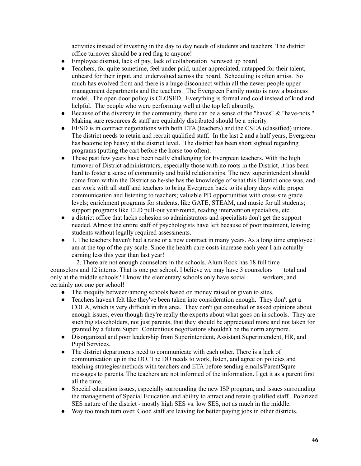activities instead of investing in the day to day needs of students and teachers. The district office turnover should be a red flag to anyone!

- Employee distrust, lack of pay, lack of collaboration Screwed up board
- Teachers, for quite sometime, feel under paid, under appreciated, untapped for their talent, unheard for their input, and undervalued across the board. Scheduling is often amiss. So much has evolved from and there is a huge disconnect within all the newer people upper management departments and the teachers. The Evergreen Family motto is now a business model. The open door policy is CLOSED. Everything is formal and cold instead of kind and helpful. The people who were performing well at the top left abruptly.
- Because of the diversity in the community, there can be a sense of the "haves" & "have-nots." Making sure resources  $\&$  staff are equitably distributed should be a priority.
- EESD is in contract negotiations with both ETA (teachers) and the CSEA (classified) unions. The district needs to retain and recruit qualified staff. In the last 2 and a half years, Evergreen has become top heavy at the district level. The district has been short sighted regarding programs (putting the cart before the horse too often).
- These past few years have been really challenging for Evergreen teachers. With the high turnover of District administrators, especially those with no roots in the District, it has been hard to foster a sense of community and build relationships. The new superintendent should come from within the District so he/she has the knowledge of what this District once was, and can work with all staff and teachers to bring Evergreen back to its glory days with: proper communication and listening to teachers; valuable PD opportunities with cross-site grade levels; enrichment programs for students, like GATE, STEAM, and music for all students; support programs like ELD pull-out year-round, reading intervention specialists, etc.
- a district office that lacks cohesion so administrators and specialists don't get the support needed. Almost the entire staff of psychologists have left because of poor treatment, leaving students without legally required assessments.
- 1. The teachers haven't had a raise or a new contract in many years. As a long time employee I am at the top of the pay scale. Since the health care costs increase each year I am actually earning less this year than last year!

2. There are not enough counselors in the schools. Alum Rock has 18 full time counselors and 12 interns. That is one per school. I believe we may have 3 counselors total and only at the middle schools? I know the elementary schools only have social workers, and certainly not one per school!

- The inequity between/among schools based on money raised or given to sites.
- Teachers haven't felt like they've been taken into consideration enough. They don't get a COLA, which is very difficult in this area. They don't get consulted or asked opinions about enough issues, even though they're really the experts about what goes on in schools. They are such big stakeholders, not just parents, that they should be appreciated more and not taken for granted by a future Super. Contentious negotiations shouldn't be the norm anymore.
- Disorganized and poor leadership from Superintendent, Assistant Superintendent, HR, and Pupil Services.
- The district departments need to communicate with each other. There is a lack of communication up in the DO. The DO needs to work, listen, and agree on policies and teaching strategies/methods with teachers and ETA before sending emails/ParentSqure messages to parents. The teachers are not informed of the information. I get it as a parent first all the time.
- Special education issues, especially surrounding the new ISP program, and issues surrounding the management of Special Education and ability to attract and retain qualified staff. Polarized SES nature of the district - mostly high SES vs. low SES, not as much in the middle.
- Way too much turn over. Good staff are leaving for better paying jobs in other districts.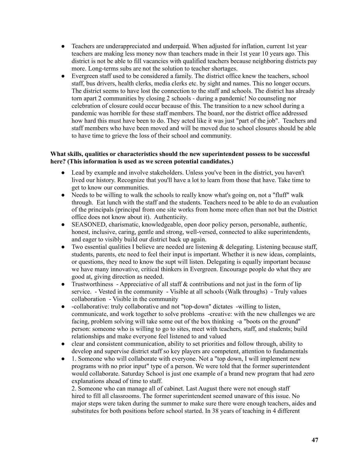- Teachers are underappreciated and underpaid. When adjusted for inflation, current 1st year teachers are making less money now than teachers made in their 1st year 10 years ago. This district is not be able to fill vacancies with qualified teachers because neighboring districts pay more. Long-terms subs are not the solution to teacher shortages.
- Evergreen staff used to be considered a family. The district office knew the teachers, school staff, bus drivers, health clerks, media clerks etc. by sight and names. This no longer occurs. The district seems to have lost the connection to the staff and schools. The district has already torn apart 2 communities by closing 2 schools - during a pandemic! No counseling nor celebration of closure could occur because of this. The transition to a new school during a pandemic was horrible for these staff members. The board, nor the district office addressed how hard this must have been to do. They acted like it was just "part of the job". Teachers and staff members who have been moved and will be moved due to school closures should be able to have time to grieve the loss of their school and community.

# **What skills, qualities or characteristics should the new superintendent possess to be successful here? (This information is used as we screen potential candidates.)**

- Lead by example and involve stakeholders. Unless you've been in the district, you haven't lived our history. Recognize that you'll have a lot to learn from those that have. Take time to get to know our communities.
- Needs to be willing to walk the schools to really know what's going on, not a "fluff" walk through. Eat lunch with the staff and the students. Teachers need to be able to do an evaluation of the principals (principal from one site works from home more often than not but the District office does not know about it). Authenticity.
- SEASONED, charismatic, knowledgeable, open door policy person, personable, authentic, honest, inclusive, caring, gentle and strong, well-versed, connected to alike superintendents, and eager to visibly build our district back up again.
- Two essential qualities I believe are needed are listening  $\&$  delegating. Listening because staff, students, parents, etc need to feel their input is important. Whether it is new ideas, complaints, or questions, they need to know the supt will listen. Delegating is equally important because we have many innovative, critical thinkers in Evergreen. Encourage people do what they are good at, giving direction as needed.
- Trustworthiness Appreciative of all staff & contributions and not just in the form of lip service. - Vested in the community - Visible at all schools (Walk throughs) - Truly values collaboration - Visible in the community
- -collaborative: truly collaborative and not "top-down" dictates -willing to listen, communicate, and work together to solve problems -creative: with the new challenges we are facing, problem solving will take some out of the box thinking -a "boots on the ground" person: someone who is willing to go to sites, meet with teachers, staff, and students; build relationships and make everyone feel listened to and valued
- clear and consistent communication, ability to set priorities and follow through, ability to develop and supervise district staff so key players are competent, attention to fundamentals
- 1. Someone who will collaborate with everyone. Not a "top down, I will implement new programs with no prior input" type of a person. We were told that the former superintendent would collaborate. Saturday School is just one example of a brand new program that had zero explanations ahead of time to staff.

2. Someone who can manage all of cabinet. Last August there were not enough staff hired to fill all classrooms. The former superintendent seemed unaware of this issue. No major steps were taken during the summer to make sure there were enough teachers, aides and substitutes for both positions before school started. In 38 years of teaching in 4 different